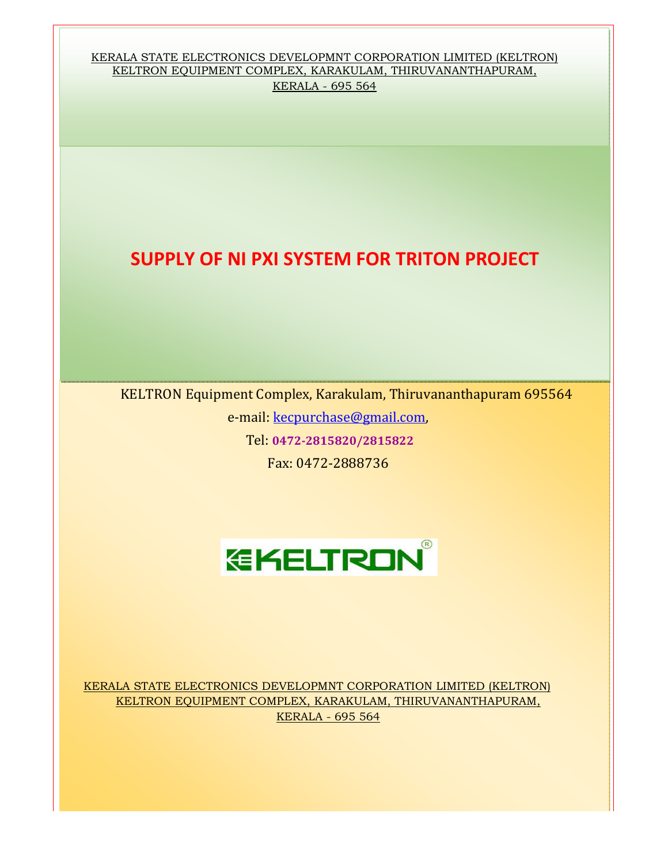KERALA STATE ELECTRONICS DEVELOPMNT CORPORATION LIMITED (KELTRON) KELTRON EQUIPMENT COMPLEX, KARAKULAM, THIRUVANANTHAPURAM, KERALA - 695 564

### SUPPLY OF NI PXI SYSTEM FOR TRITON PROJECT

KELTRON Equipment Complex, Karakulam, Thiruvananthapuram 695564

e-mail: kecpurchase@gmail.com,

Tel: 0472-2815820/2815822

Fax: 0472-2888736



KERALA STATE ELECTRONICS DEVELOPMNT CORPORATION LIMITED (KELTRON) KELTRON EQUIPMENT COMPLEX, KARAKULAM, THIRUVANANTHAPURAM, KERALA - 695 564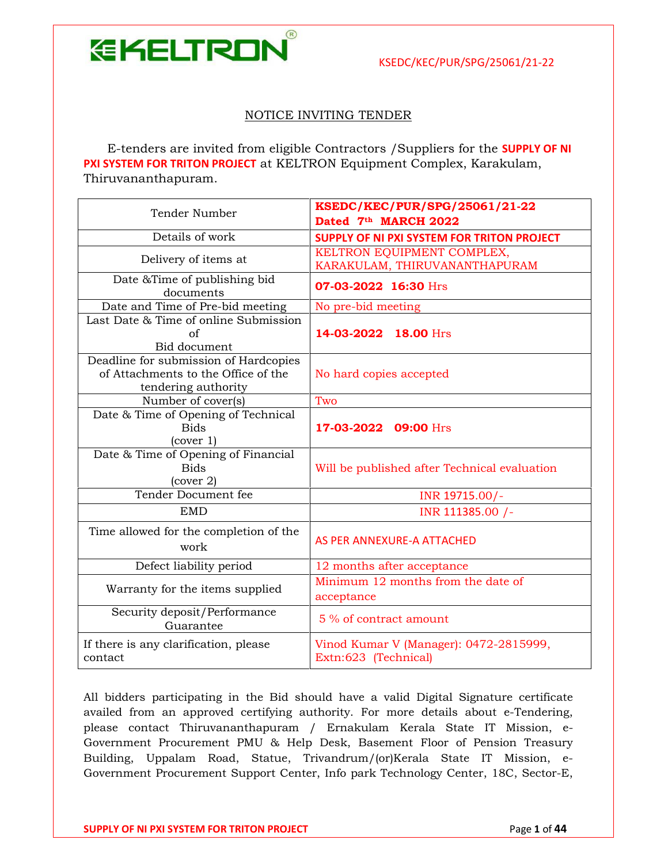$(R)$ 

**EKELTRON** 

NOTICE INVITING TENDER

 E-tenders are invited from eligible Contractors /Suppliers for the SUPPLY OF NI PXI SYSTEM FOR TRITON PROJECT at KELTRON Equipment Complex, Karakulam, Thiruvananthapuram.

| Tender Number                                                                                       | KSEDC/KEC/PUR/SPG/25061/21-22<br>Dated 7th MARCH 2022          |  |  |
|-----------------------------------------------------------------------------------------------------|----------------------------------------------------------------|--|--|
| Details of work                                                                                     | <b>SUPPLY OF NI PXI SYSTEM FOR TRITON PROJECT</b>              |  |  |
| Delivery of items at                                                                                | KELTRON EQUIPMENT COMPLEX,<br>KARAKULAM, THIRUVANANTHAPURAM    |  |  |
| Date & Time of publishing bid<br>documents                                                          | 07-03-2022 16:30 Hrs                                           |  |  |
| Date and Time of Pre-bid meeting                                                                    | No pre-bid meeting                                             |  |  |
| Last Date & Time of online Submission<br>of<br>Bid document                                         | 14-03-2022 18.00 Hrs                                           |  |  |
| Deadline for submission of Hardcopies<br>of Attachments to the Office of the<br>tendering authority | No hard copies accepted                                        |  |  |
| Number of cover(s)                                                                                  | Two                                                            |  |  |
| Date & Time of Opening of Technical<br><b>Bids</b><br>(cover 1)                                     | 17-03-2022 09:00 Hrs                                           |  |  |
| Date & Time of Opening of Financial<br><b>Bids</b><br>(cover 2)                                     | Will be published after Technical evaluation                   |  |  |
| Tender Document fee                                                                                 | INR 19715.00/-                                                 |  |  |
| <b>EMD</b>                                                                                          | INR 111385.00 /-                                               |  |  |
| Time allowed for the completion of the<br>work                                                      | AS PER ANNEXURE-A ATTACHED                                     |  |  |
| Defect liability period                                                                             | 12 months after acceptance                                     |  |  |
| Warranty for the items supplied                                                                     | Minimum 12 months from the date of<br>acceptance               |  |  |
| Security deposit/Performance<br>Guarantee                                                           | 5 % of contract amount                                         |  |  |
| If there is any clarification, please<br>contact                                                    | Vinod Kumar V (Manager): 0472-2815999,<br>Extn:623 (Technical) |  |  |

All bidders participating in the Bid should have a valid Digital Signature certificate availed from an approved certifying authority. For more details about e-Tendering, please contact Thiruvananthapuram / Ernakulam Kerala State IT Mission, e-Government Procurement PMU & Help Desk, Basement Floor of Pension Treasury Building, Uppalam Road, Statue, Trivandrum/(or)Kerala State IT Mission, e-Government Procurement Support Center, Info park Technology Center, 18C, Sector-E,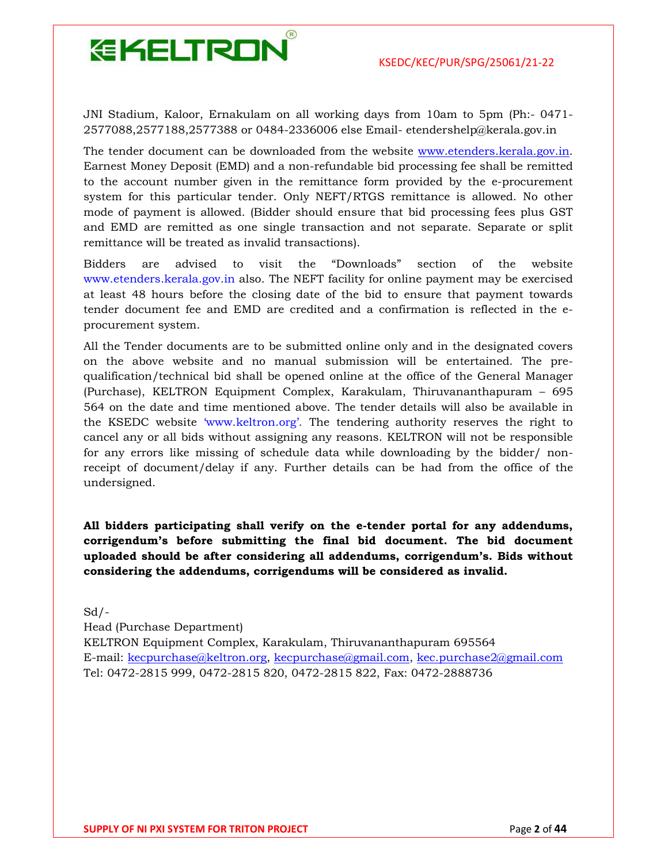

JNI Stadium, Kaloor, Ernakulam on all working days from 10am to 5pm (Ph:- 0471- 2577088,2577188,2577388 or 0484-2336006 else Email- etendershelp@kerala.gov.in

The tender document can be downloaded from the website www.etenders.kerala.gov.in. Earnest Money Deposit (EMD) and a non-refundable bid processing fee shall be remitted to the account number given in the remittance form provided by the e-procurement system for this particular tender. Only NEFT/RTGS remittance is allowed. No other mode of payment is allowed. (Bidder should ensure that bid processing fees plus GST and EMD are remitted as one single transaction and not separate. Separate or split remittance will be treated as invalid transactions).

Bidders are advised to visit the "Downloads" section of the website www.etenders.kerala.gov.in also. The NEFT facility for online payment may be exercised at least 48 hours before the closing date of the bid to ensure that payment towards tender document fee and EMD are credited and a confirmation is reflected in the eprocurement system.

All the Tender documents are to be submitted online only and in the designated covers on the above website and no manual submission will be entertained. The prequalification/technical bid shall be opened online at the office of the General Manager (Purchase), KELTRON Equipment Complex, Karakulam, Thiruvananthapuram – 695 564 on the date and time mentioned above. The tender details will also be available in the KSEDC website 'www.keltron.org'. The tendering authority reserves the right to cancel any or all bids without assigning any reasons. KELTRON will not be responsible for any errors like missing of schedule data while downloading by the bidder/ nonreceipt of document/delay if any. Further details can be had from the office of the undersigned.

All bidders participating shall verify on the e-tender portal for any addendums, corrigendum's before submitting the final bid document. The bid document uploaded should be after considering all addendums, corrigendum's. Bids without considering the addendums, corrigendums will be considered as invalid.

 $Sd$  /-Head (Purchase Department) KELTRON Equipment Complex, Karakulam, Thiruvananthapuram 695564 E-mail: kecpurchase@keltron.org, kecpurchase@gmail.com, kec.purchase2@gmail.com Tel: 0472-2815 999, 0472-2815 820, 0472-2815 822, Fax: 0472-2888736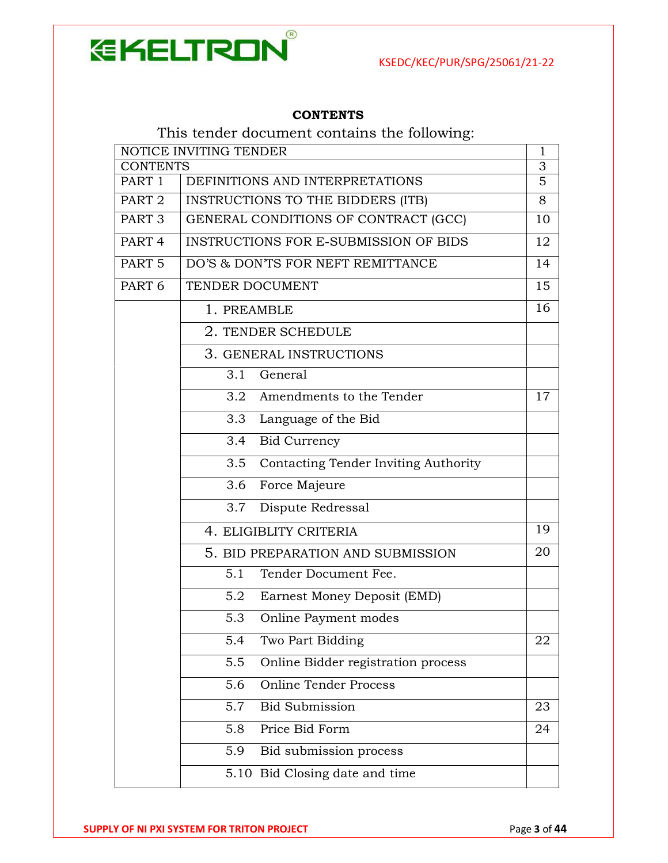

#### **CONTENTS**

### This tender document contains the following:

| NOTICE INVITING TENDER |                                              |                     |  |
|------------------------|----------------------------------------------|---------------------|--|
| CONTENTS               |                                              | 3<br>$\overline{5}$ |  |
| PART 1                 | DEFINITIONS AND INTERPRETATIONS              |                     |  |
| PART <sub>2</sub>      | INSTRUCTIONS TO THE BIDDERS (ITB)            |                     |  |
| PART <sub>3</sub>      | GENERAL CONDITIONS OF CONTRACT (GCC)         |                     |  |
| PART <sub>4</sub>      | <b>INSTRUCTIONS FOR E-SUBMISSION OF BIDS</b> | 12                  |  |
| PART <sub>5</sub>      | DO'S & DON'TS FOR NEFT REMITTANCE            | 14                  |  |
| PART <sub>6</sub>      | TENDER DOCUMENT                              |                     |  |
|                        | 1. PREAMBLE                                  | 16                  |  |
|                        | 2. TENDER SCHEDULE                           |                     |  |
|                        | 3. GENERAL INSTRUCTIONS                      |                     |  |
|                        | General<br>3.1                               |                     |  |
|                        | Amendments to the Tender<br>3.2              | 17                  |  |
|                        | 3.3<br>Language of the Bid                   |                     |  |
|                        | 3.4<br><b>Bid Currency</b>                   |                     |  |
|                        | Contacting Tender Inviting Authority<br>3.5  |                     |  |
|                        | Force Majeure<br>3.6                         |                     |  |
|                        | 3.7<br>Dispute Redressal                     |                     |  |
|                        | 4. ELIGIBLITY CRITERIA                       |                     |  |
|                        | 5. BID PREPARATION AND SUBMISSION            |                     |  |
|                        | 5.1<br>Tender Document Fee.                  |                     |  |
|                        | 5.2<br>Earnest Money Deposit (EMD)           |                     |  |
|                        | 5.3<br>Online Payment modes                  |                     |  |
|                        | $\overline{5.4}$<br>Two Part Bidding         | 22                  |  |
|                        | 5.5<br>Online Bidder registration process    |                     |  |
|                        | <b>Online Tender Process</b><br>5.6          |                     |  |
|                        | 5.7<br><b>Bid Submission</b>                 | 23                  |  |
|                        | Price Bid Form<br>5.8                        | 24                  |  |
|                        | Bid submission process<br>5.9                |                     |  |
|                        | 5.10 Bid Closing date and time               |                     |  |
|                        |                                              |                     |  |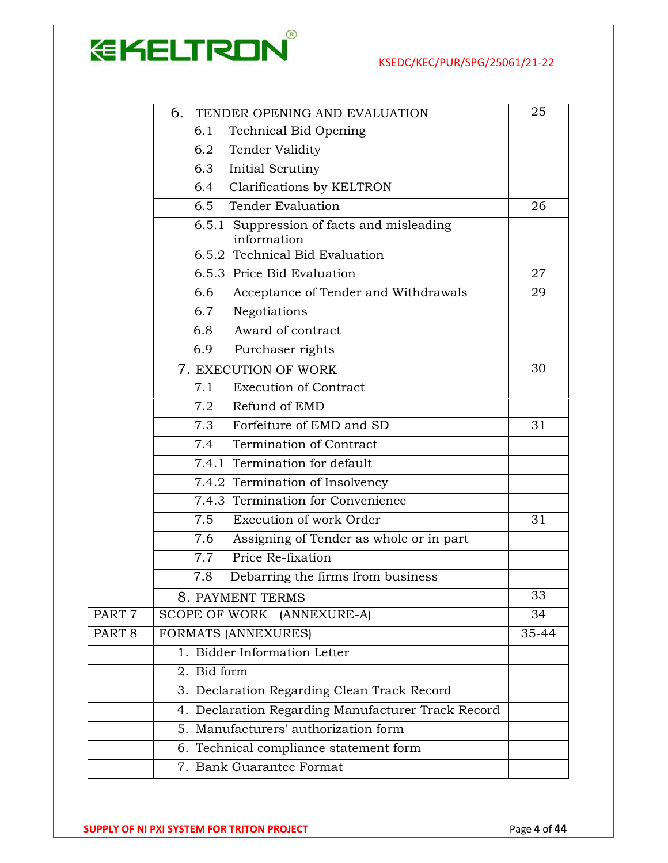

|                        | 6.<br>TENDER OPENING AND EVALUATION                      | 25    |
|------------------------|----------------------------------------------------------|-------|
|                        | <b>Technical Bid Opening</b><br>6.1                      |       |
| Tender Validity<br>6.2 |                                                          |       |
|                        | 6.3<br>Initial Scrutiny                                  |       |
|                        | Clarifications by KELTRON<br>6.4                         |       |
|                        | <b>Tender Evaluation</b><br>6.5                          | 26    |
|                        | 6.5.1 Suppression of facts and misleading<br>information |       |
|                        | 6.5.2 Technical Bid Evaluation                           |       |
|                        | 6.5.3 Price Bid Evaluation                               | 27    |
|                        | 6.6<br>Acceptance of Tender and Withdrawals              | 29    |
|                        | 6.7<br>Negotiations                                      |       |
|                        | Award of contract<br>6.8                                 |       |
|                        | 6.9<br>Purchaser rights                                  |       |
|                        | 7. EXECUTION OF WORK                                     | 30    |
|                        | 7.1<br><b>Execution of Contract</b>                      |       |
|                        | 7.2 Refund of EMD                                        |       |
|                        | 7.3<br>Forfeiture of EMD and SD                          | 31    |
|                        | Termination of Contract<br>7.4                           |       |
|                        | 7.4.1 Termination for default                            |       |
|                        | 7.4.2 Termination of Insolvency                          |       |
|                        | 7.4.3 Termination for Convenience                        |       |
|                        | 7.5<br>Execution of work Order                           | 31    |
|                        | 7.6<br>Assigning of Tender as whole or in part           |       |
|                        | Price Re-fixation<br>7.7                                 |       |
|                        | 7.8<br>Debarring the firms from business                 |       |
|                        | 8. PAYMENT TERMS                                         | 33    |
| PART <sub>7</sub>      | <b>SCOPE OF WORK</b><br>(ANNEXURE-A)                     | 34    |
| PART <sub>8</sub>      | FORMATS (ANNEXURES)                                      | 35-44 |
|                        | 1. Bidder Information Letter                             |       |
|                        | $\overline{2}$ . Bid form                                |       |
|                        | 3. Declaration Regarding Clean Track Record              |       |
|                        | 4. Declaration Regarding Manufacturer Track Record       |       |
|                        | 5. Manufacturers' authorization form                     |       |
|                        | 6. Technical compliance statement form                   |       |
|                        | 7. Bank Guarantee Format                                 |       |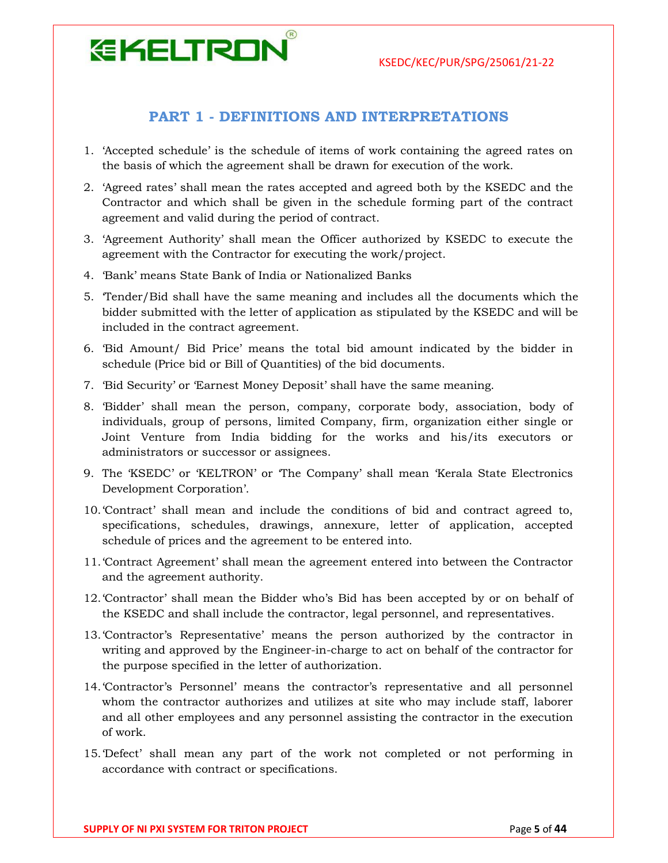## **EKELTRON**

#### PART 1 - DEFINITIONS AND INTERPRETATIONS

- 1. 'Accepted schedule' is the schedule of items of work containing the agreed rates on the basis of which the agreement shall be drawn for execution of the work.
- 2. 'Agreed rates' shall mean the rates accepted and agreed both by the KSEDC and the Contractor and which shall be given in the schedule forming part of the contract agreement and valid during the period of contract.
- 3. 'Agreement Authority' shall mean the Officer authorized by KSEDC to execute the agreement with the Contractor for executing the work/project.
- 4. 'Bank' means State Bank of India or Nationalized Banks
- 5. 'Tender/Bid shall have the same meaning and includes all the documents which the bidder submitted with the letter of application as stipulated by the KSEDC and will be included in the contract agreement.
- 6. 'Bid Amount/ Bid Price' means the total bid amount indicated by the bidder in schedule (Price bid or Bill of Quantities) of the bid documents.
- 7. 'Bid Security' or 'Earnest Money Deposit' shall have the same meaning.
- 8. 'Bidder' shall mean the person, company, corporate body, association, body of individuals, group of persons, limited Company, firm, organization either single or Joint Venture from India bidding for the works and his/its executors or administrators or successor or assignees.
- 9. The 'KSEDC' or 'KELTRON' or 'The Company' shall mean 'Kerala State Electronics Development Corporation'.
- 10.'Contract' shall mean and include the conditions of bid and contract agreed to, specifications, schedules, drawings, annexure, letter of application, accepted schedule of prices and the agreement to be entered into.
- 11.'Contract Agreement' shall mean the agreement entered into between the Contractor and the agreement authority.
- 12.'Contractor' shall mean the Bidder who's Bid has been accepted by or on behalf of the KSEDC and shall include the contractor, legal personnel, and representatives.
- 13.'Contractor's Representative' means the person authorized by the contractor in writing and approved by the Engineer-in-charge to act on behalf of the contractor for the purpose specified in the letter of authorization.
- 14.'Contractor's Personnel' means the contractor's representative and all personnel whom the contractor authorizes and utilizes at site who may include staff, laborer and all other employees and any personnel assisting the contractor in the execution of work.
- 15.'Defect' shall mean any part of the work not completed or not performing in accordance with contract or specifications.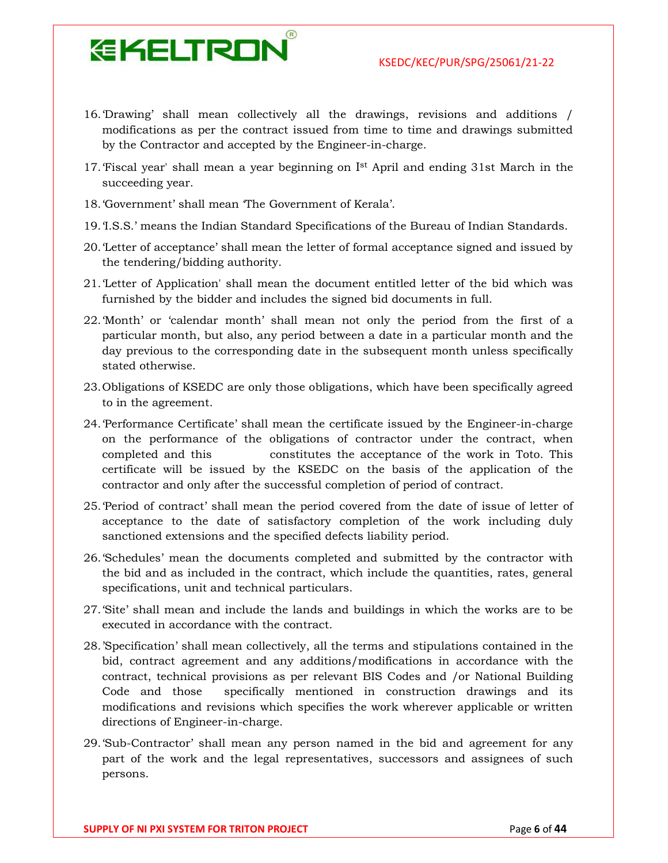- 16.'Drawing' shall mean collectively all the drawings, revisions and additions / modifications as per the contract issued from time to time and drawings submitted by the Contractor and accepted by the Engineer-in-charge.
- 17. 'Fiscal year' shall mean a year beginning on Ist April and ending 31st March in the succeeding year.
- 18.'Government' shall mean 'The Government of Kerala'.
- 19.'I.S.S.' means the Indian Standard Specifications of the Bureau of Indian Standards.
- 20.'Letter of acceptance' shall mean the letter of formal acceptance signed and issued by the tendering/bidding authority.
- 21.'Letter of Application' shall mean the document entitled letter of the bid which was furnished by the bidder and includes the signed bid documents in full.
- 22.'Month' or 'calendar month' shall mean not only the period from the first of a particular month, but also, any period between a date in a particular month and the day previous to the corresponding date in the subsequent month unless specifically stated otherwise.
- 23.Obligations of KSEDC are only those obligations, which have been specifically agreed to in the agreement.
- 24.'Performance Certificate' shall mean the certificate issued by the Engineer-in-charge on the performance of the obligations of contractor under the contract, when completed and this constitutes the acceptance of the work in Toto. This certificate will be issued by the KSEDC on the basis of the application of the contractor and only after the successful completion of period of contract.
- 25.'Period of contract' shall mean the period covered from the date of issue of letter of acceptance to the date of satisfactory completion of the work including duly sanctioned extensions and the specified defects liability period.
- 26.'Schedules' mean the documents completed and submitted by the contractor with the bid and as included in the contract, which include the quantities, rates, general specifications, unit and technical particulars.
- 27.'Site' shall mean and include the lands and buildings in which the works are to be executed in accordance with the contract.
- 28.'Specification' shall mean collectively, all the terms and stipulations contained in the bid, contract agreement and any additions/modifications in accordance with the contract, technical provisions as per relevant BIS Codes and /or National Building Code and those specifically mentioned in construction drawings and its modifications and revisions which specifies the work wherever applicable or written directions of Engineer-in-charge.
- 29.'Sub-Contractor' shall mean any person named in the bid and agreement for any part of the work and the legal representatives, successors and assignees of such persons.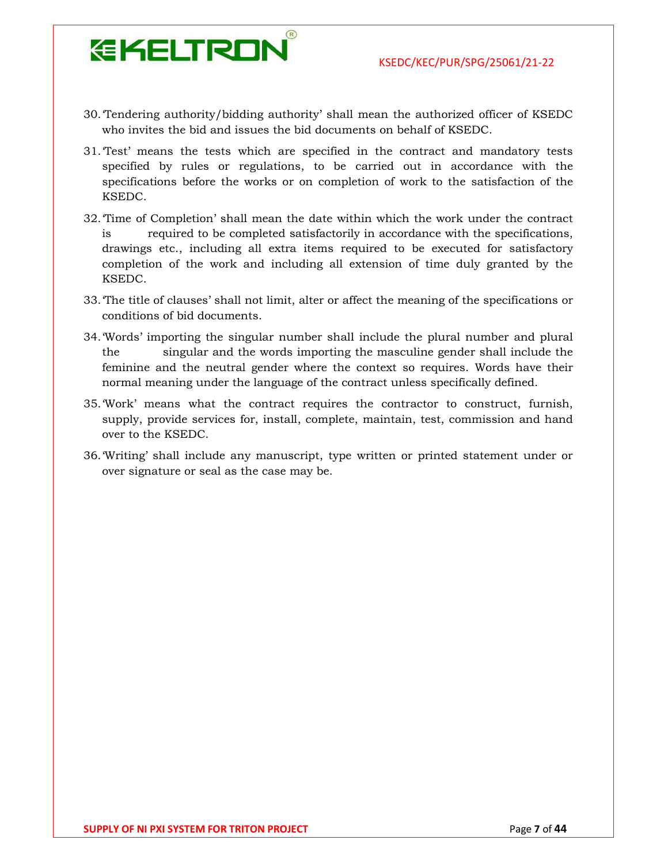

30.'Tendering authority/bidding authority' shall mean the authorized officer of KSEDC who invites the bid and issues the bid documents on behalf of KSEDC.

- 31.'Test' means the tests which are specified in the contract and mandatory tests specified by rules or regulations, to be carried out in accordance with the specifications before the works or on completion of work to the satisfaction of the KSEDC.
- 32.'Time of Completion' shall mean the date within which the work under the contract is required to be completed satisfactorily in accordance with the specifications, drawings etc., including all extra items required to be executed for satisfactory completion of the work and including all extension of time duly granted by the KSEDC.
- 33.'The title of clauses' shall not limit, alter or affect the meaning of the specifications or conditions of bid documents.
- 34.'Words' importing the singular number shall include the plural number and plural the singular and the words importing the masculine gender shall include the feminine and the neutral gender where the context so requires. Words have their normal meaning under the language of the contract unless specifically defined.
- 35.'Work' means what the contract requires the contractor to construct, furnish, supply, provide services for, install, complete, maintain, test, commission and hand over to the KSEDC.
- 36.'Writing' shall include any manuscript, type written or printed statement under or over signature or seal as the case may be.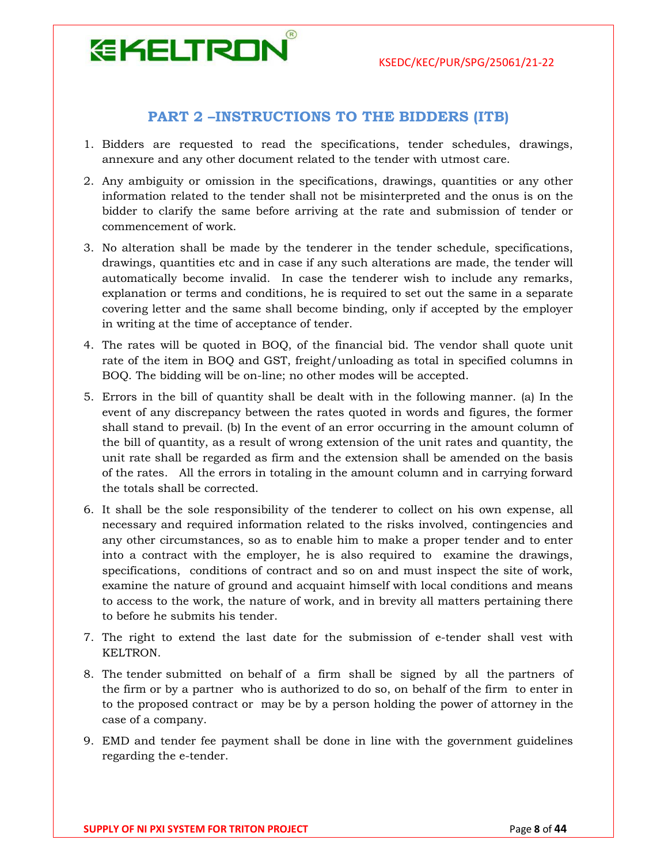# **EKELTRON**

#### PART 2 –INSTRUCTIONS TO THE BIDDERS (ITB)

- 1. Bidders are requested to read the specifications, tender schedules, drawings, annexure and any other document related to the tender with utmost care.
- 2. Any ambiguity or omission in the specifications, drawings, quantities or any other information related to the tender shall not be misinterpreted and the onus is on the bidder to clarify the same before arriving at the rate and submission of tender or commencement of work.
- 3. No alteration shall be made by the tenderer in the tender schedule, specifications, drawings, quantities etc and in case if any such alterations are made, the tender will automatically become invalid. In case the tenderer wish to include any remarks, explanation or terms and conditions, he is required to set out the same in a separate covering letter and the same shall become binding, only if accepted by the employer in writing at the time of acceptance of tender.
- 4. The rates will be quoted in BOQ, of the financial bid. The vendor shall quote unit rate of the item in BOQ and GST, freight/unloading as total in specified columns in BOQ. The bidding will be on-line; no other modes will be accepted.
- 5. Errors in the bill of quantity shall be dealt with in the following manner. (a) In the event of any discrepancy between the rates quoted in words and figures, the former shall stand to prevail. (b) In the event of an error occurring in the amount column of the bill of quantity, as a result of wrong extension of the unit rates and quantity, the unit rate shall be regarded as firm and the extension shall be amended on the basis of the rates. All the errors in totaling in the amount column and in carrying forward the totals shall be corrected.
- 6. It shall be the sole responsibility of the tenderer to collect on his own expense, all necessary and required information related to the risks involved, contingencies and any other circumstances, so as to enable him to make a proper tender and to enter into a contract with the employer, he is also required to examine the drawings, specifications, conditions of contract and so on and must inspect the site of work, examine the nature of ground and acquaint himself with local conditions and means to access to the work, the nature of work, and in brevity all matters pertaining there to before he submits his tender.
- 7. The right to extend the last date for the submission of e-tender shall vest with KELTRON.
- 8. The tender submitted on behalf of a firm shall be signed by all the partners of the firm or by a partner who is authorized to do so, on behalf of the firm to enter in to the proposed contract or may be by a person holding the power of attorney in the case of a company.
- 9. EMD and tender fee payment shall be done in line with the government guidelines regarding the e-tender.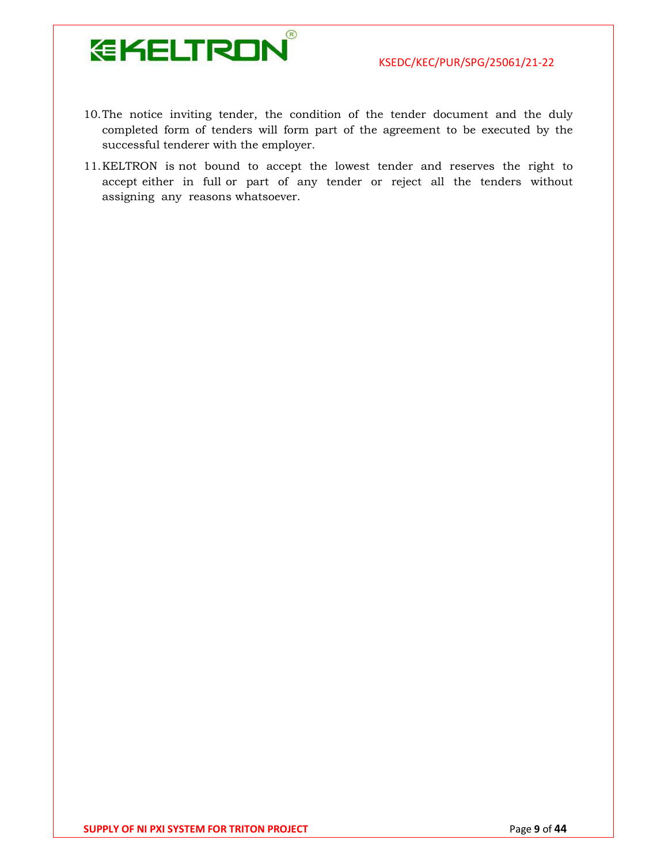

- 10.The notice inviting tender, the condition of the tender document and the duly completed form of tenders will form part of the agreement to be executed by the successful tenderer with the employer.
- 11.KELTRON is not bound to accept the lowest tender and reserves the right to accept either in full or part of any tender or reject all the tenders without assigning any reasons whatsoever.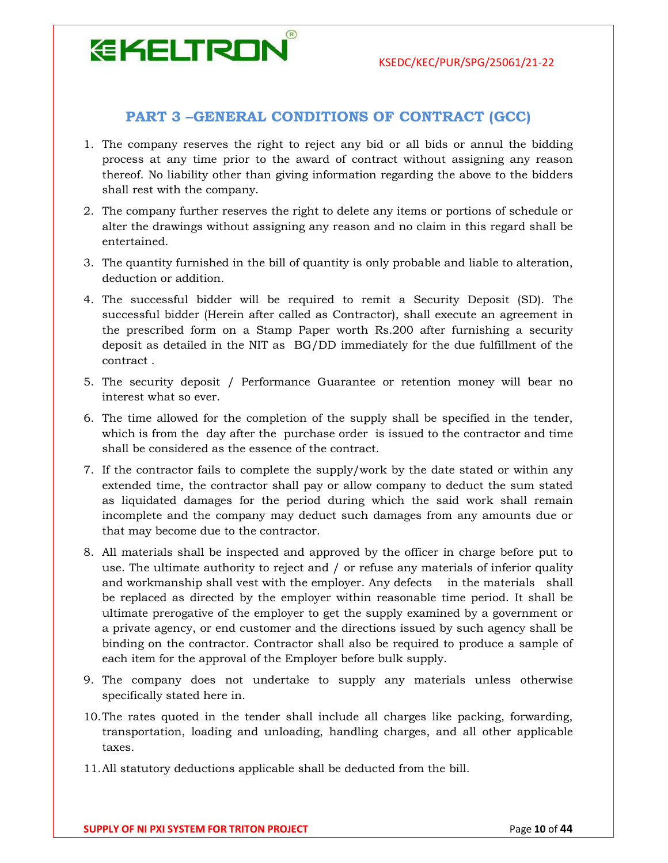#### PART 3 –GENERAL CONDITIONS OF CONTRACT (GCC)

- 1. The company reserves the right to reject any bid or all bids or annul the bidding process at any time prior to the award of contract without assigning any reason thereof. No liability other than giving information regarding the above to the bidders shall rest with the company.
- 2. The company further reserves the right to delete any items or portions of schedule or alter the drawings without assigning any reason and no claim in this regard shall be entertained.
- 3. The quantity furnished in the bill of quantity is only probable and liable to alteration, deduction or addition.
- 4. The successful bidder will be required to remit a Security Deposit (SD). The successful bidder (Herein after called as Contractor), shall execute an agreement in the prescribed form on a Stamp Paper worth Rs.200 after furnishing a security deposit as detailed in the NIT as BG/DD immediately for the due fulfillment of the contract .
- 5. The security deposit / Performance Guarantee or retention money will bear no interest what so ever.
- 6. The time allowed for the completion of the supply shall be specified in the tender, which is from the day after the purchase order is issued to the contractor and time shall be considered as the essence of the contract.
- 7. If the contractor fails to complete the supply/work by the date stated or within any extended time, the contractor shall pay or allow company to deduct the sum stated as liquidated damages for the period during which the said work shall remain incomplete and the company may deduct such damages from any amounts due or that may become due to the contractor.
- 8. All materials shall be inspected and approved by the officer in charge before put to use. The ultimate authority to reject and / or refuse any materials of inferior quality and workmanship shall vest with the employer. Any defects in the materials shall be replaced as directed by the employer within reasonable time period. It shall be ultimate prerogative of the employer to get the supply examined by a government or a private agency, or end customer and the directions issued by such agency shall be binding on the contractor. Contractor shall also be required to produce a sample of each item for the approval of the Employer before bulk supply.
- 9. The company does not undertake to supply any materials unless otherwise specifically stated here in.
- 10.The rates quoted in the tender shall include all charges like packing, forwarding, transportation, loading and unloading, handling charges, and all other applicable taxes.
- 11.All statutory deductions applicable shall be deducted from the bill.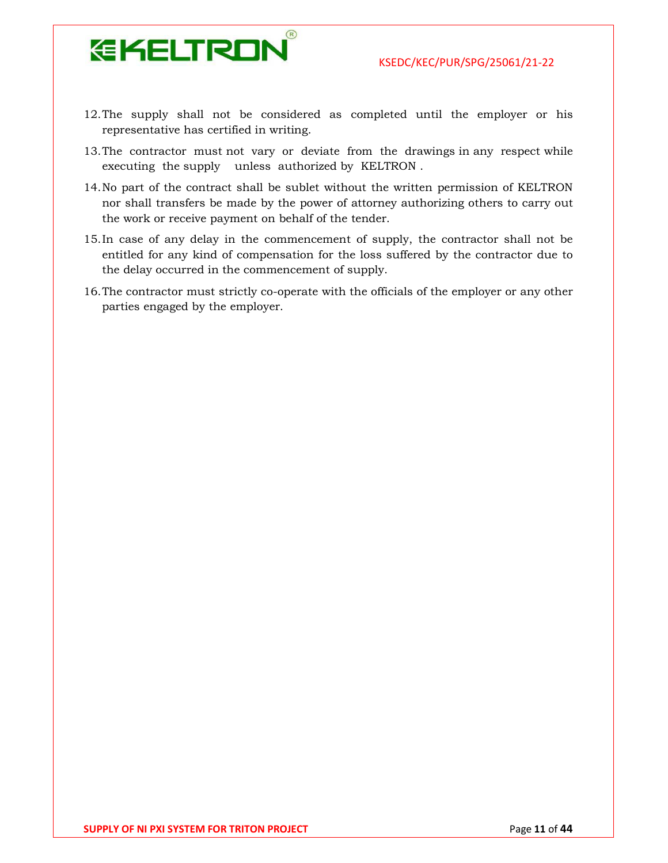

- 12.The supply shall not be considered as completed until the employer or his representative has certified in writing.
- 13.The contractor must not vary or deviate from the drawings in any respect while executing the supply unless authorized by KELTRON .
- 14.No part of the contract shall be sublet without the written permission of KELTRON nor shall transfers be made by the power of attorney authorizing others to carry out the work or receive payment on behalf of the tender.
- 15.In case of any delay in the commencement of supply, the contractor shall not be entitled for any kind of compensation for the loss suffered by the contractor due to the delay occurred in the commencement of supply.
- 16.The contractor must strictly co-operate with the officials of the employer or any other parties engaged by the employer.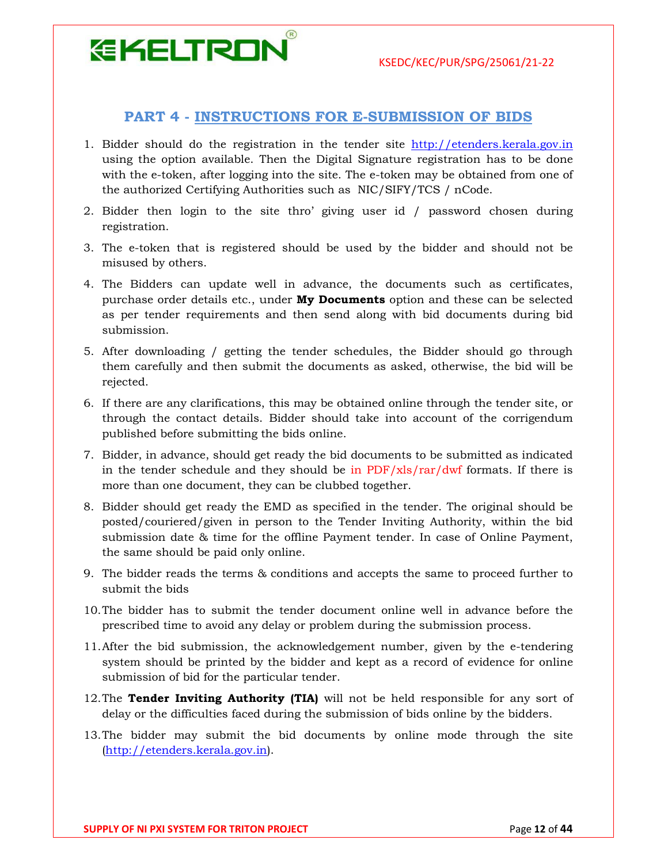#### PART 4 - INSTRUCTIONS FOR E-SUBMISSION OF BIDS

- 1. Bidder should do the registration in the tender site http://etenders.kerala.gov.in using the option available. Then the Digital Signature registration has to be done with the e-token, after logging into the site. The e-token may be obtained from one of the authorized Certifying Authorities such as NIC/SIFY/TCS / nCode.
- 2. Bidder then login to the site thro' giving user id / password chosen during registration.
- 3. The e-token that is registered should be used by the bidder and should not be misused by others.
- 4. The Bidders can update well in advance, the documents such as certificates, purchase order details etc., under **My Documents** option and these can be selected as per tender requirements and then send along with bid documents during bid submission.
- 5. After downloading / getting the tender schedules, the Bidder should go through them carefully and then submit the documents as asked, otherwise, the bid will be rejected.
- 6. If there are any clarifications, this may be obtained online through the tender site, or through the contact details. Bidder should take into account of the corrigendum published before submitting the bids online.
- 7. Bidder, in advance, should get ready the bid documents to be submitted as indicated in the tender schedule and they should be in  $PDF/xls/rar/dwf$  formats. If there is more than one document, they can be clubbed together.
- 8. Bidder should get ready the EMD as specified in the tender. The original should be posted/couriered/given in person to the Tender Inviting Authority, within the bid submission date & time for the offline Payment tender. In case of Online Payment, the same should be paid only online.
- 9. The bidder reads the terms & conditions and accepts the same to proceed further to submit the bids
- 10.The bidder has to submit the tender document online well in advance before the prescribed time to avoid any delay or problem during the submission process.
- 11.After the bid submission, the acknowledgement number, given by the e-tendering system should be printed by the bidder and kept as a record of evidence for online submission of bid for the particular tender.
- 12. The Tender Inviting Authority (TIA) will not be held responsible for any sort of delay or the difficulties faced during the submission of bids online by the bidders.
- 13.The bidder may submit the bid documents by online mode through the site (http://etenders.kerala.gov.in).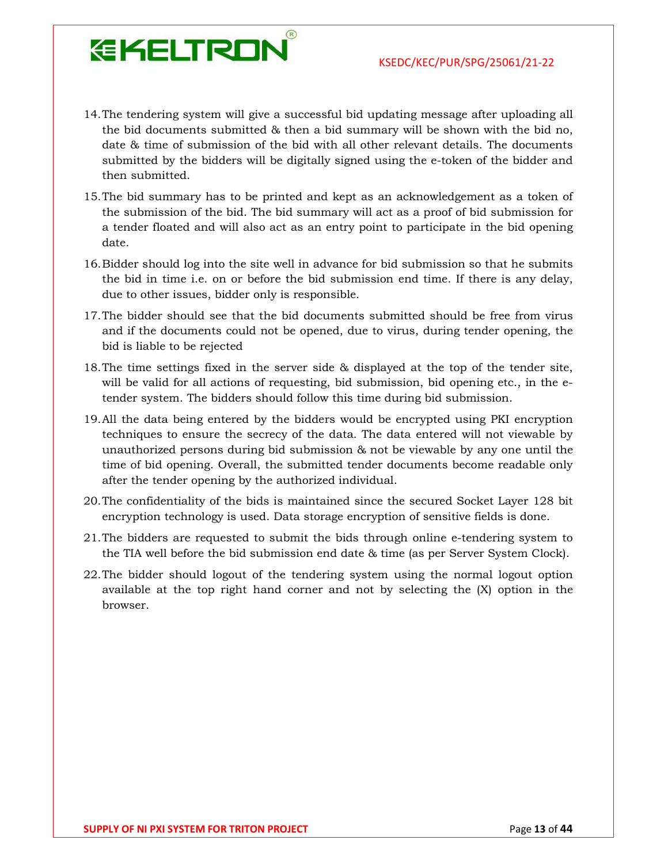14.The tendering system will give a successful bid updating message after uploading all the bid documents submitted & then a bid summary will be shown with the bid no, date & time of submission of the bid with all other relevant details. The documents submitted by the bidders will be digitally signed using the e-token of the bidder and then submitted.

- 15.The bid summary has to be printed and kept as an acknowledgement as a token of the submission of the bid. The bid summary will act as a proof of bid submission for a tender floated and will also act as an entry point to participate in the bid opening date.
- 16.Bidder should log into the site well in advance for bid submission so that he submits the bid in time i.e. on or before the bid submission end time. If there is any delay, due to other issues, bidder only is responsible.
- 17.The bidder should see that the bid documents submitted should be free from virus and if the documents could not be opened, due to virus, during tender opening, the bid is liable to be rejected
- 18.The time settings fixed in the server side & displayed at the top of the tender site, will be valid for all actions of requesting, bid submission, bid opening etc., in the etender system. The bidders should follow this time during bid submission.
- 19.All the data being entered by the bidders would be encrypted using PKI encryption techniques to ensure the secrecy of the data. The data entered will not viewable by unauthorized persons during bid submission & not be viewable by any one until the time of bid opening. Overall, the submitted tender documents become readable only after the tender opening by the authorized individual.
- 20.The confidentiality of the bids is maintained since the secured Socket Layer 128 bit encryption technology is used. Data storage encryption of sensitive fields is done.
- 21.The bidders are requested to submit the bids through online e-tendering system to the TIA well before the bid submission end date & time (as per Server System Clock).
- 22.The bidder should logout of the tendering system using the normal logout option available at the top right hand corner and not by selecting the (X) option in the browser.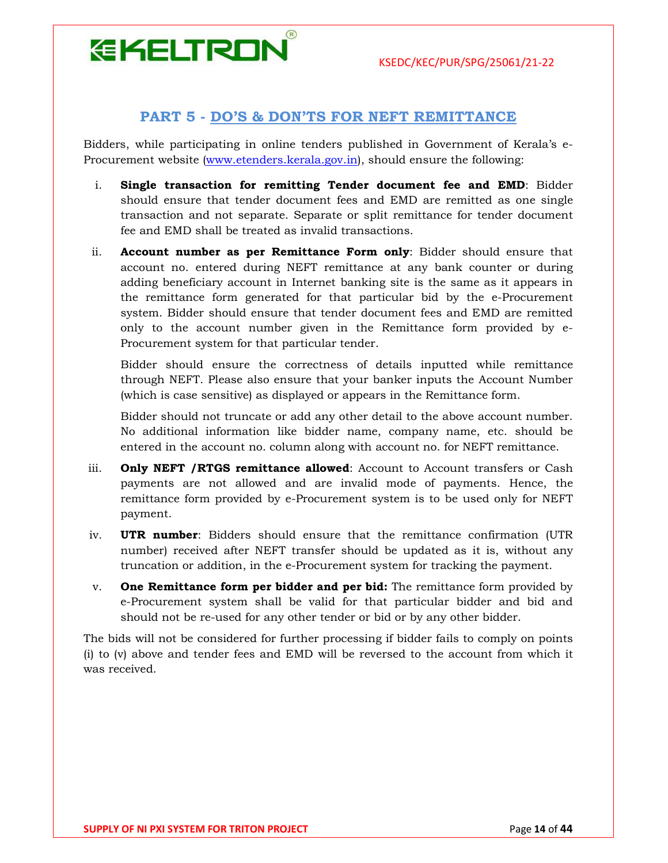### **EKELTRON**

#### PART 5 - DO'S & DON'TS FOR NEFT REMITTANCE

Bidders, while participating in online tenders published in Government of Kerala's e-Procurement website (www.etenders.kerala.gov.in), should ensure the following:

- i. Single transaction for remitting Tender document fee and EMD: Bidder should ensure that tender document fees and EMD are remitted as one single transaction and not separate. Separate or split remittance for tender document fee and EMD shall be treated as invalid transactions.
- ii. Account number as per Remittance Form only: Bidder should ensure that account no. entered during NEFT remittance at any bank counter or during adding beneficiary account in Internet banking site is the same as it appears in the remittance form generated for that particular bid by the e-Procurement system. Bidder should ensure that tender document fees and EMD are remitted only to the account number given in the Remittance form provided by e-Procurement system for that particular tender.

Bidder should ensure the correctness of details inputted while remittance through NEFT. Please also ensure that your banker inputs the Account Number (which is case sensitive) as displayed or appears in the Remittance form.

Bidder should not truncate or add any other detail to the above account number. No additional information like bidder name, company name, etc. should be entered in the account no. column along with account no. for NEFT remittance.

- iii. **Only NEFT / RTGS remittance allowed**: Account to Account transfers or Cash payments are not allowed and are invalid mode of payments. Hence, the remittance form provided by e-Procurement system is to be used only for NEFT payment.
- iv. **UTR number:** Bidders should ensure that the remittance confirmation (UTR number) received after NEFT transfer should be updated as it is, without any truncation or addition, in the e-Procurement system for tracking the payment.
- $v.$  One Remittance form per bidder and per bid: The remittance form provided by e-Procurement system shall be valid for that particular bidder and bid and should not be re-used for any other tender or bid or by any other bidder.

The bids will not be considered for further processing if bidder fails to comply on points (i) to (v) above and tender fees and EMD will be reversed to the account from which it was received.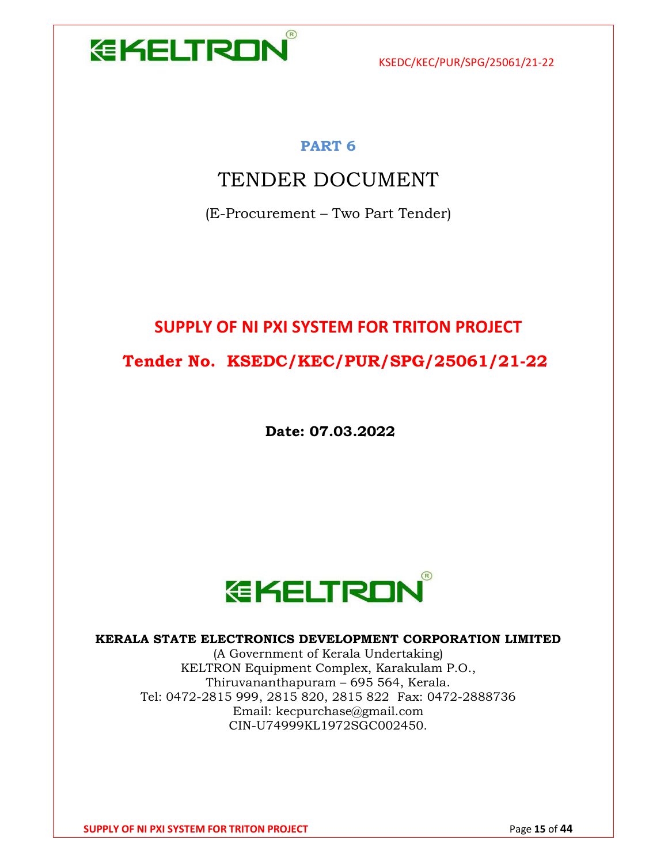

#### PART 6

### TENDER DOCUMENT

(E-Procurement – Two Part Tender)

### SUPPLY OF NI PXI SYSTEM FOR TRITON PROJECT Tender No. KSEDC/KEC/PUR/SPG/25061/21-22

Date: 07.03.2022



#### KERALA STATE ELECTRONICS DEVELOPMENT CORPORATION LIMITED

(A Government of Kerala Undertaking) KELTRON Equipment Complex, Karakulam P.O., Thiruvananthapuram – 695 564, Kerala. Tel: 0472-2815 999, 2815 820, 2815 822 Fax: 0472-2888736 Email: kecpurchase@gmail.com CIN-U74999KL1972SGC002450.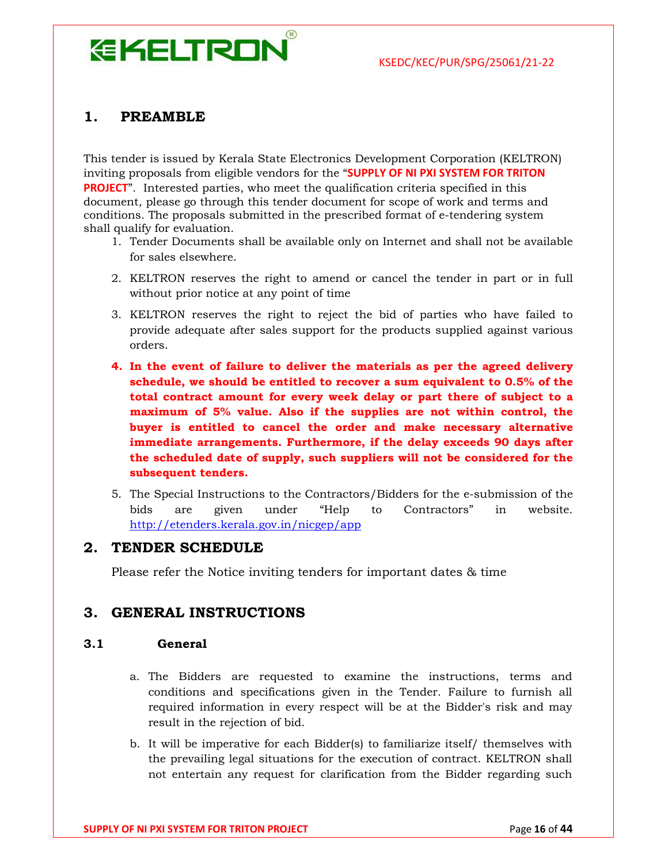# **EKELTRON**

#### 1. PREAMBLE

This tender is issued by Kerala State Electronics Development Corporation (KELTRON) inviting proposals from eligible vendors for the "SUPPLY OF NI PXI SYSTEM FOR TRITON PROJECT". Interested parties, who meet the qualification criteria specified in this document, please go through this tender document for scope of work and terms and conditions. The proposals submitted in the prescribed format of e-tendering system shall qualify for evaluation.

- 1. Tender Documents shall be available only on Internet and shall not be available for sales elsewhere.
- 2. KELTRON reserves the right to amend or cancel the tender in part or in full without prior notice at any point of time
- 3. KELTRON reserves the right to reject the bid of parties who have failed to provide adequate after sales support for the products supplied against various orders.
- 4. In the event of failure to deliver the materials as per the agreed delivery schedule, we should be entitled to recover a sum equivalent to 0.5% of the total contract amount for every week delay or part there of subject to a maximum of 5% value. Also if the supplies are not within control, the buyer is entitled to cancel the order and make necessary alternative immediate arrangements. Furthermore, if the delay exceeds 90 days after the scheduled date of supply, such suppliers will not be considered for the subsequent tenders.
- 5. The Special Instructions to the Contractors/Bidders for the e-submission of the bids are given under "Help to Contractors" in website. http://etenders.kerala.gov.in/nicgep/app

#### 2. TENDER SCHEDULE

Please refer the Notice inviting tenders for important dates & time

#### 3. GENERAL INSTRUCTIONS

#### 3.1 General

- a. The Bidders are requested to examine the instructions, terms and conditions and specifications given in the Tender. Failure to furnish all required information in every respect will be at the Bidder's risk and may result in the rejection of bid.
- b. It will be imperative for each Bidder(s) to familiarize itself/ themselves with the prevailing legal situations for the execution of contract. KELTRON shall not entertain any request for clarification from the Bidder regarding such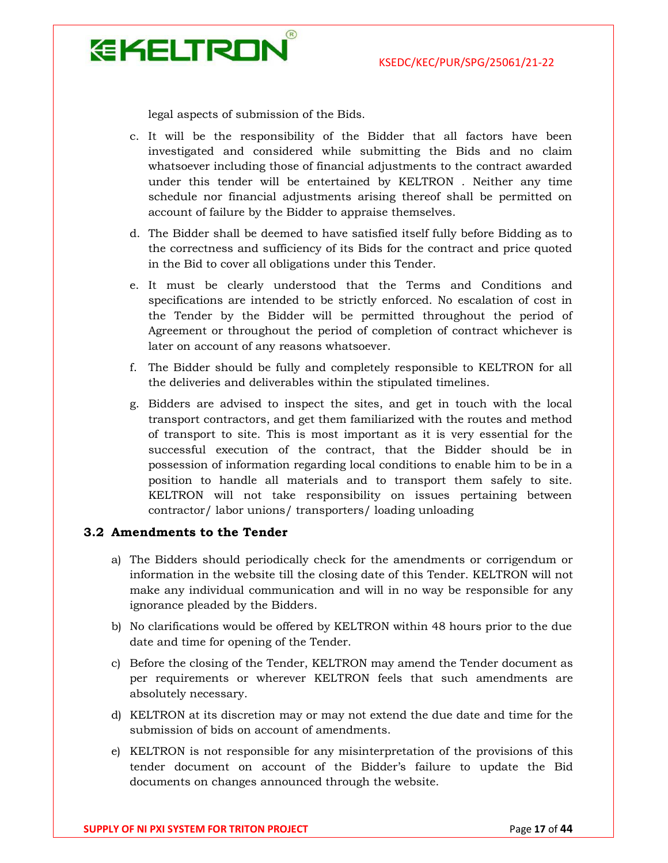

legal aspects of submission of the Bids.

- c. It will be the responsibility of the Bidder that all factors have been investigated and considered while submitting the Bids and no claim whatsoever including those of financial adjustments to the contract awarded under this tender will be entertained by KELTRON . Neither any time schedule nor financial adjustments arising thereof shall be permitted on account of failure by the Bidder to appraise themselves.
- d. The Bidder shall be deemed to have satisfied itself fully before Bidding as to the correctness and sufficiency of its Bids for the contract and price quoted in the Bid to cover all obligations under this Tender.
- e. It must be clearly understood that the Terms and Conditions and specifications are intended to be strictly enforced. No escalation of cost in the Tender by the Bidder will be permitted throughout the period of Agreement or throughout the period of completion of contract whichever is later on account of any reasons whatsoever.
- f. The Bidder should be fully and completely responsible to KELTRON for all the deliveries and deliverables within the stipulated timelines.
- g. Bidders are advised to inspect the sites, and get in touch with the local transport contractors, and get them familiarized with the routes and method of transport to site. This is most important as it is very essential for the successful execution of the contract, that the Bidder should be in possession of information regarding local conditions to enable him to be in a position to handle all materials and to transport them safely to site. KELTRON will not take responsibility on issues pertaining between contractor/ labor unions/ transporters/ loading unloading

#### 3.2 Amendments to the Tender

- a) The Bidders should periodically check for the amendments or corrigendum or information in the website till the closing date of this Tender. KELTRON will not make any individual communication and will in no way be responsible for any ignorance pleaded by the Bidders.
- b) No clarifications would be offered by KELTRON within 48 hours prior to the due date and time for opening of the Tender.
- c) Before the closing of the Tender, KELTRON may amend the Tender document as per requirements or wherever KELTRON feels that such amendments are absolutely necessary.
- d) KELTRON at its discretion may or may not extend the due date and time for the submission of bids on account of amendments.
- e) KELTRON is not responsible for any misinterpretation of the provisions of this tender document on account of the Bidder's failure to update the Bid documents on changes announced through the website.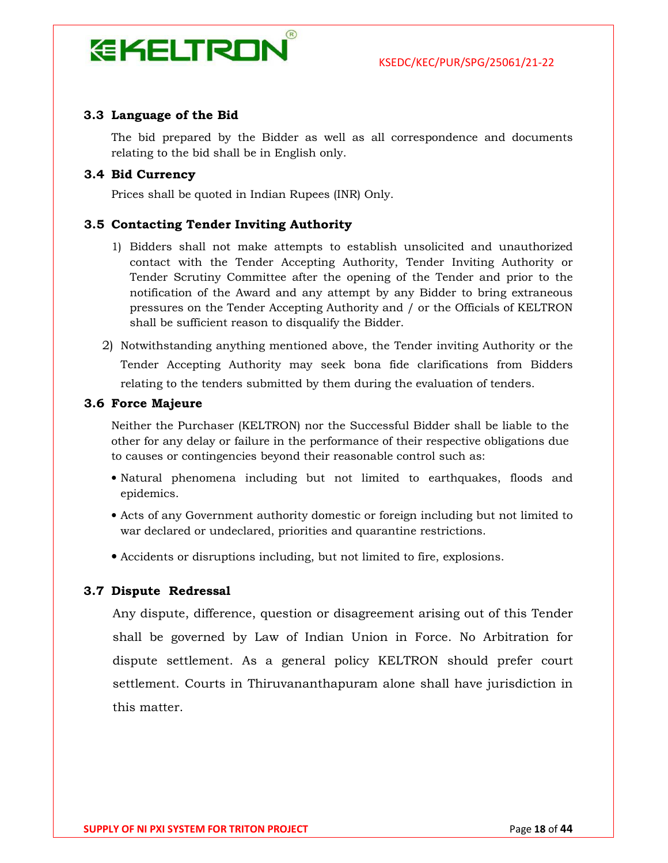# **EKELTRON**

#### 3.3 Language of the Bid

The bid prepared by the Bidder as well as all correspondence and documents relating to the bid shall be in English only.

#### 3.4 Bid Currency

Prices shall be quoted in Indian Rupees (INR) Only.

#### 3.5 Contacting Tender Inviting Authority

- 1) Bidders shall not make attempts to establish unsolicited and unauthorized contact with the Tender Accepting Authority, Tender Inviting Authority or Tender Scrutiny Committee after the opening of the Tender and prior to the notification of the Award and any attempt by any Bidder to bring extraneous pressures on the Tender Accepting Authority and / or the Officials of KELTRON shall be sufficient reason to disqualify the Bidder.
- 2) Notwithstanding anything mentioned above, the Tender inviting Authority or the Tender Accepting Authority may seek bona fide clarifications from Bidders relating to the tenders submitted by them during the evaluation of tenders.

#### 3.6 Force Majeure

Neither the Purchaser (KELTRON) nor the Successful Bidder shall be liable to the other for any delay or failure in the performance of their respective obligations due to causes or contingencies beyond their reasonable control such as:

- Natural phenomena including but not limited to earthquakes, floods and epidemics.
- Acts of any Government authority domestic or foreign including but not limited to war declared or undeclared, priorities and quarantine restrictions.
- Accidents or disruptions including, but not limited to fire, explosions.

#### 3.7 Dispute Redressal

Any dispute, difference, question or disagreement arising out of this Tender shall be governed by Law of Indian Union in Force. No Arbitration for dispute settlement. As a general policy KELTRON should prefer court settlement. Courts in Thiruvananthapuram alone shall have jurisdiction in this matter.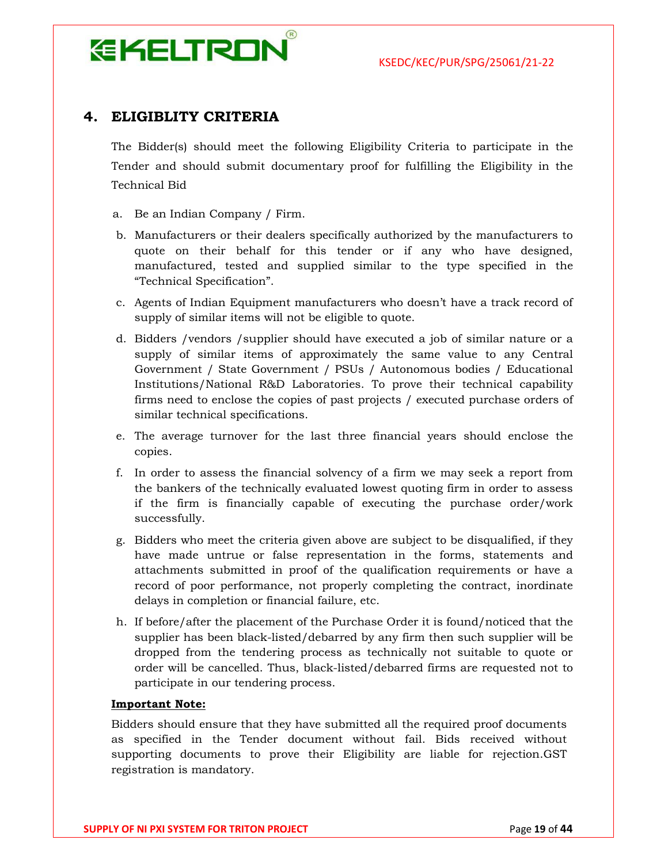# **EKELTRON**

#### 4. ELIGIBLITY CRITERIA

The Bidder(s) should meet the following Eligibility Criteria to participate in the Tender and should submit documentary proof for fulfilling the Eligibility in the Technical Bid

- a. Be an Indian Company / Firm.
- b. Manufacturers or their dealers specifically authorized by the manufacturers to quote on their behalf for this tender or if any who have designed, manufactured, tested and supplied similar to the type specified in the "Technical Specification".
- c. Agents of Indian Equipment manufacturers who doesn't have a track record of supply of similar items will not be eligible to quote.
- d. Bidders /vendors /supplier should have executed a job of similar nature or a supply of similar items of approximately the same value to any Central Government / State Government / PSUs / Autonomous bodies / Educational Institutions/National R&D Laboratories. To prove their technical capability firms need to enclose the copies of past projects / executed purchase orders of similar technical specifications.
- e. The average turnover for the last three financial years should enclose the copies.
- f. In order to assess the financial solvency of a firm we may seek a report from the bankers of the technically evaluated lowest quoting firm in order to assess if the firm is financially capable of executing the purchase order/work successfully.
- g. Bidders who meet the criteria given above are subject to be disqualified, if they have made untrue or false representation in the forms, statements and attachments submitted in proof of the qualification requirements or have a record of poor performance, not properly completing the contract, inordinate delays in completion or financial failure, etc.
- h. If before/after the placement of the Purchase Order it is found/noticed that the supplier has been black-listed/debarred by any firm then such supplier will be dropped from the tendering process as technically not suitable to quote or order will be cancelled. Thus, black-listed/debarred firms are requested not to participate in our tendering process.

#### Important Note:

Bidders should ensure that they have submitted all the required proof documents as specified in the Tender document without fail. Bids received without supporting documents to prove their Eligibility are liable for rejection.GST registration is mandatory.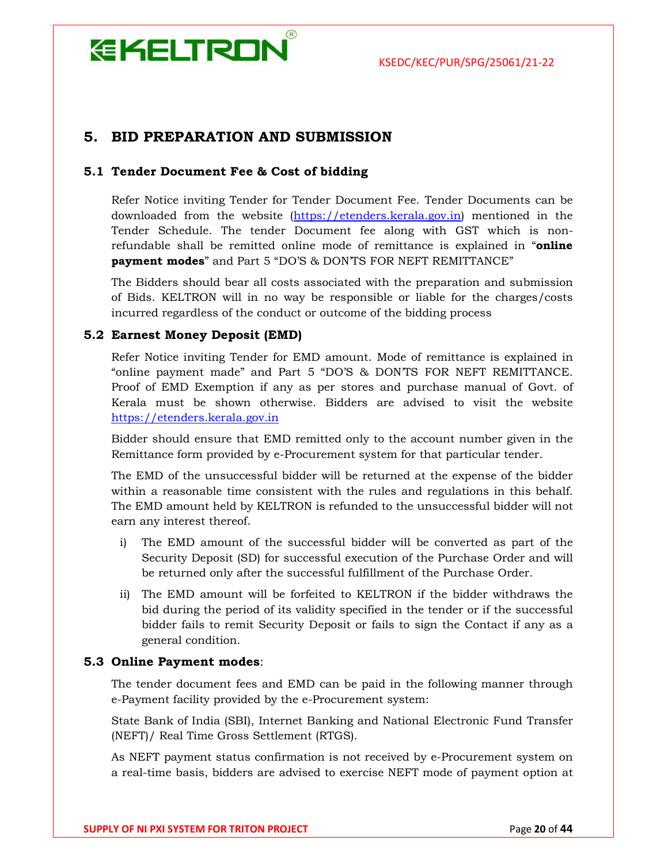#### 5. BID PREPARATION AND SUBMISSION

#### 5.1 Tender Document Fee & Cost of bidding

Refer Notice inviting Tender for Tender Document Fee. Tender Documents can be downloaded from the website (https://etenders.kerala.gov.in) mentioned in the Tender Schedule. The tender Document fee along with GST which is nonrefundable shall be remitted online mode of remittance is explained in "online payment modes" and Part 5 "DO'S & DON'TS FOR NEFT REMITTANCE"

The Bidders should bear all costs associated with the preparation and submission of Bids. KELTRON will in no way be responsible or liable for the charges/costs incurred regardless of the conduct or outcome of the bidding process

#### 5.2 Earnest Money Deposit (EMD)

Refer Notice inviting Tender for EMD amount. Mode of remittance is explained in "online payment made" and Part 5 "DO'S & DON'TS FOR NEFT REMITTANCE. Proof of EMD Exemption if any as per stores and purchase manual of Govt. of Kerala must be shown otherwise. Bidders are advised to visit the website https://etenders.kerala.gov.in

Bidder should ensure that EMD remitted only to the account number given in the Remittance form provided by e-Procurement system for that particular tender.

The EMD of the unsuccessful bidder will be returned at the expense of the bidder within a reasonable time consistent with the rules and regulations in this behalf. The EMD amount held by KELTRON is refunded to the unsuccessful bidder will not earn any interest thereof.

- i) The EMD amount of the successful bidder will be converted as part of the Security Deposit (SD) for successful execution of the Purchase Order and will be returned only after the successful fulfillment of the Purchase Order.
- ii) The EMD amount will be forfeited to KELTRON if the bidder withdraws the bid during the period of its validity specified in the tender or if the successful bidder fails to remit Security Deposit or fails to sign the Contact if any as a general condition.

#### 5.3 Online Payment modes:

The tender document fees and EMD can be paid in the following manner through e-Payment facility provided by the e-Procurement system:

State Bank of India (SBI), Internet Banking and National Electronic Fund Transfer (NEFT)/ Real Time Gross Settlement (RTGS).

As NEFT payment status confirmation is not received by e-Procurement system on a real-time basis, bidders are advised to exercise NEFT mode of payment option at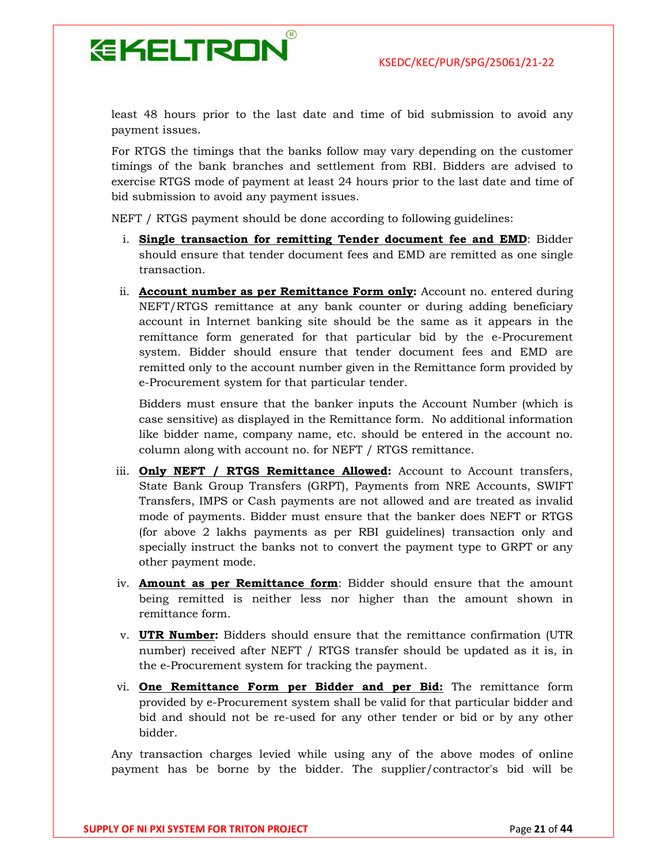

least 48 hours prior to the last date and time of bid submission to avoid any payment issues.

For RTGS the timings that the banks follow may vary depending on the customer timings of the bank branches and settlement from RBI. Bidders are advised to exercise RTGS mode of payment at least 24 hours prior to the last date and time of bid submission to avoid any payment issues.

NEFT / RTGS payment should be done according to following guidelines:

- i. Single transaction for remitting Tender document fee and EMD: Bidder should ensure that tender document fees and EMD are remitted as one single transaction.
- ii. **Account number as per Remittance Form only:** Account no. entered during NEFT/RTGS remittance at any bank counter or during adding beneficiary account in Internet banking site should be the same as it appears in the remittance form generated for that particular bid by the e-Procurement system. Bidder should ensure that tender document fees and EMD are remitted only to the account number given in the Remittance form provided by e-Procurement system for that particular tender.

Bidders must ensure that the banker inputs the Account Number (which is case sensitive) as displayed in the Remittance form. No additional information like bidder name, company name, etc. should be entered in the account no. column along with account no. for NEFT / RTGS remittance.

- iii. **Only NEFT / RTGS Remittance Allowed:** Account to Account transfers, State Bank Group Transfers (GRPT), Payments from NRE Accounts, SWIFT Transfers, IMPS or Cash payments are not allowed and are treated as invalid mode of payments. Bidder must ensure that the banker does NEFT or RTGS (for above 2 lakhs payments as per RBI guidelines) transaction only and specially instruct the banks not to convert the payment type to GRPT or any other payment mode.
- iv. **Amount as per Remittance form**: Bidder should ensure that the amount being remitted is neither less nor higher than the amount shown in remittance form.
- v. UTR Number: Bidders should ensure that the remittance confirmation (UTR number) received after NEFT / RTGS transfer should be updated as it is, in the e-Procurement system for tracking the payment.
- vi. One Remittance Form per Bidder and per Bid: The remittance form provided by e-Procurement system shall be valid for that particular bidder and bid and should not be re-used for any other tender or bid or by any other bidder.

Any transaction charges levied while using any of the above modes of online payment has be borne by the bidder. The supplier/contractor's bid will be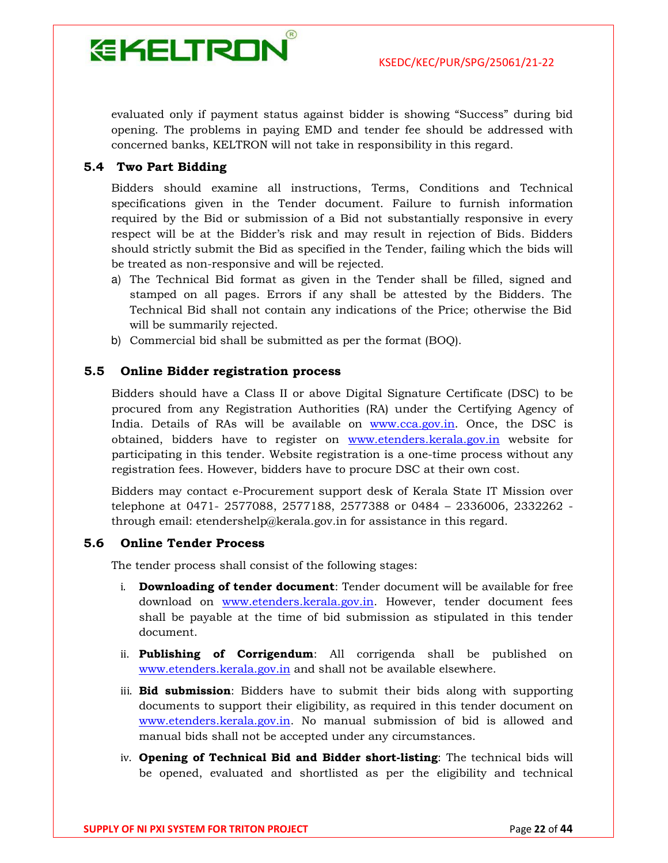

evaluated only if payment status against bidder is showing "Success" during bid opening. The problems in paying EMD and tender fee should be addressed with concerned banks, KELTRON will not take in responsibility in this regard.

#### 5.4 Two Part Bidding

Bidders should examine all instructions, Terms, Conditions and Technical specifications given in the Tender document. Failure to furnish information required by the Bid or submission of a Bid not substantially responsive in every respect will be at the Bidder's risk and may result in rejection of Bids. Bidders should strictly submit the Bid as specified in the Tender, failing which the bids will be treated as non-responsive and will be rejected.

- a) The Technical Bid format as given in the Tender shall be filled, signed and stamped on all pages. Errors if any shall be attested by the Bidders. The Technical Bid shall not contain any indications of the Price; otherwise the Bid will be summarily rejected.
- b) Commercial bid shall be submitted as per the format (BOQ).

#### 5.5 Online Bidder registration process

Bidders should have a Class II or above Digital Signature Certificate (DSC) to be procured from any Registration Authorities (RA) under the Certifying Agency of India. Details of RAs will be available on www.cca.gov.in. Once, the DSC is obtained, bidders have to register on www.etenders.kerala.gov.in website for participating in this tender. Website registration is a one-time process without any registration fees. However, bidders have to procure DSC at their own cost.

Bidders may contact e-Procurement support desk of Kerala State IT Mission over telephone at 0471- 2577088, 2577188, 2577388 or 0484 – 2336006, 2332262 through email: etendershelp@kerala.gov.in for assistance in this regard.

#### 5.6 Online Tender Process

The tender process shall consist of the following stages:

- i. Downloading of tender document: Tender document will be available for free download on www.etenders.kerala.gov.in. However, tender document fees shall be payable at the time of bid submission as stipulated in this tender document.
- ii. **Publishing of Corrigendum**: All corrigenda shall be published on www.etenders.kerala.gov.in and shall not be available elsewhere.
- iii. **Bid submission**: Bidders have to submit their bids along with supporting documents to support their eligibility, as required in this tender document on www.etenders.kerala.gov.in. No manual submission of bid is allowed and manual bids shall not be accepted under any circumstances.
- iv. Opening of Technical Bid and Bidder short-listing: The technical bids will be opened, evaluated and shortlisted as per the eligibility and technical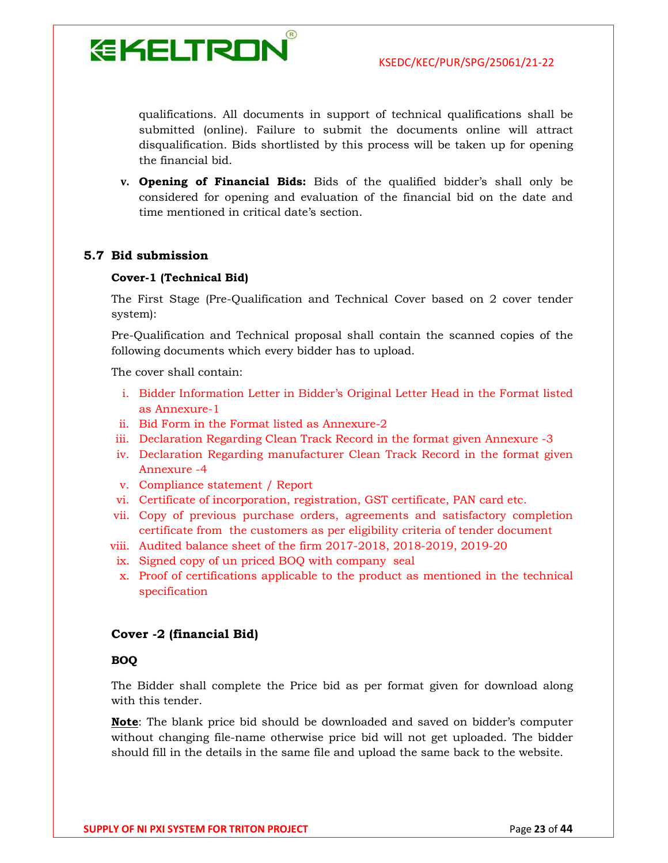qualifications. All documents in support of technical qualifications shall be submitted (online). Failure to submit the documents online will attract disqualification. Bids shortlisted by this process will be taken up for opening the financial bid.

v. Opening of Financial Bids: Bids of the qualified bidder's shall only be considered for opening and evaluation of the financial bid on the date and time mentioned in critical date's section.

#### 5.7 Bid submission

#### Cover-1 (Technical Bid)

**EKELTRON** 

The First Stage (Pre-Qualification and Technical Cover based on 2 cover tender system):

Pre-Qualification and Technical proposal shall contain the scanned copies of the following documents which every bidder has to upload.

The cover shall contain:

- i. Bidder Information Letter in Bidder's Original Letter Head in the Format listed as Annexure-1
- ii. Bid Form in the Format listed as Annexure-2
- iii. Declaration Regarding Clean Track Record in the format given Annexure -3
- iv. Declaration Regarding manufacturer Clean Track Record in the format given Annexure -4
- v. Compliance statement / Report
- vi. Certificate of incorporation, registration, GST certificate, PAN card etc.
- vii. Copy of previous purchase orders, agreements and satisfactory completion certificate from the customers as per eligibility criteria of tender document
- viii. Audited balance sheet of the firm 2017-2018, 2018-2019, 2019-20
- ix. Signed copy of un priced BOQ with company seal
- x. Proof of certifications applicable to the product as mentioned in the technical specification

#### Cover -2 (financial Bid)

#### BOQ

The Bidder shall complete the Price bid as per format given for download along with this tender.

**Note:** The blank price bid should be downloaded and saved on bidder's computer without changing file-name otherwise price bid will not get uploaded. The bidder should fill in the details in the same file and upload the same back to the website.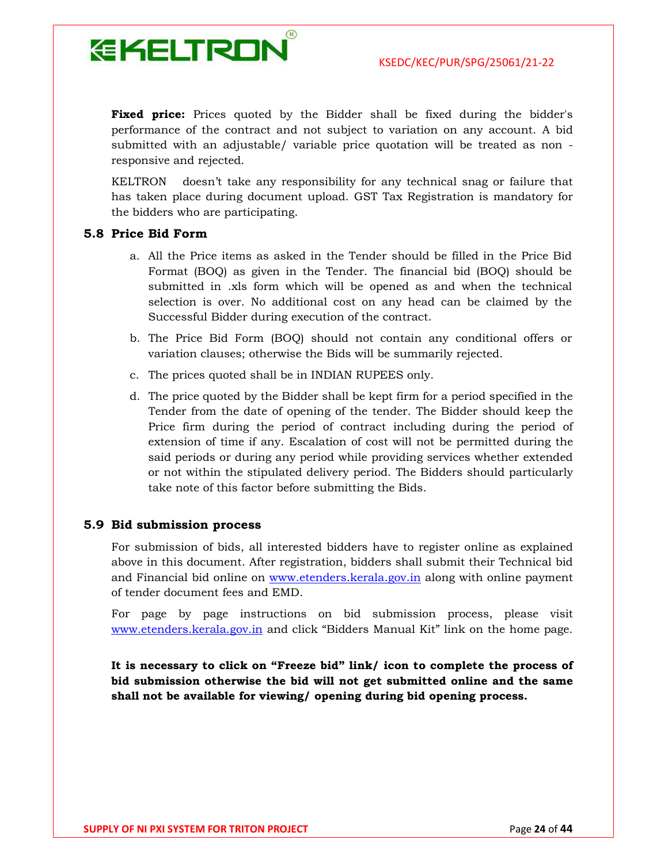

**Fixed price:** Prices quoted by the Bidder shall be fixed during the bidder's performance of the contract and not subject to variation on any account. A bid submitted with an adjustable/ variable price quotation will be treated as non responsive and rejected.

KELTRON doesn't take any responsibility for any technical snag or failure that has taken place during document upload. GST Tax Registration is mandatory for the bidders who are participating.

#### 5.8 Price Bid Form

- a. All the Price items as asked in the Tender should be filled in the Price Bid Format (BOQ) as given in the Tender. The financial bid (BOQ) should be submitted in .xls form which will be opened as and when the technical selection is over. No additional cost on any head can be claimed by the Successful Bidder during execution of the contract.
- b. The Price Bid Form (BOQ) should not contain any conditional offers or variation clauses; otherwise the Bids will be summarily rejected.
- c. The prices quoted shall be in INDIAN RUPEES only.
- d. The price quoted by the Bidder shall be kept firm for a period specified in the Tender from the date of opening of the tender. The Bidder should keep the Price firm during the period of contract including during the period of extension of time if any. Escalation of cost will not be permitted during the said periods or during any period while providing services whether extended or not within the stipulated delivery period. The Bidders should particularly take note of this factor before submitting the Bids.

#### 5.9 Bid submission process

For submission of bids, all interested bidders have to register online as explained above in this document. After registration, bidders shall submit their Technical bid and Financial bid online on www.etenders.kerala.gov.in along with online payment of tender document fees and EMD.

For page by page instructions on bid submission process, please visit www.etenders.kerala.gov.in and click "Bidders Manual Kit" link on the home page.

It is necessary to click on "Freeze bid" link/ icon to complete the process of bid submission otherwise the bid will not get submitted online and the same shall not be available for viewing/ opening during bid opening process.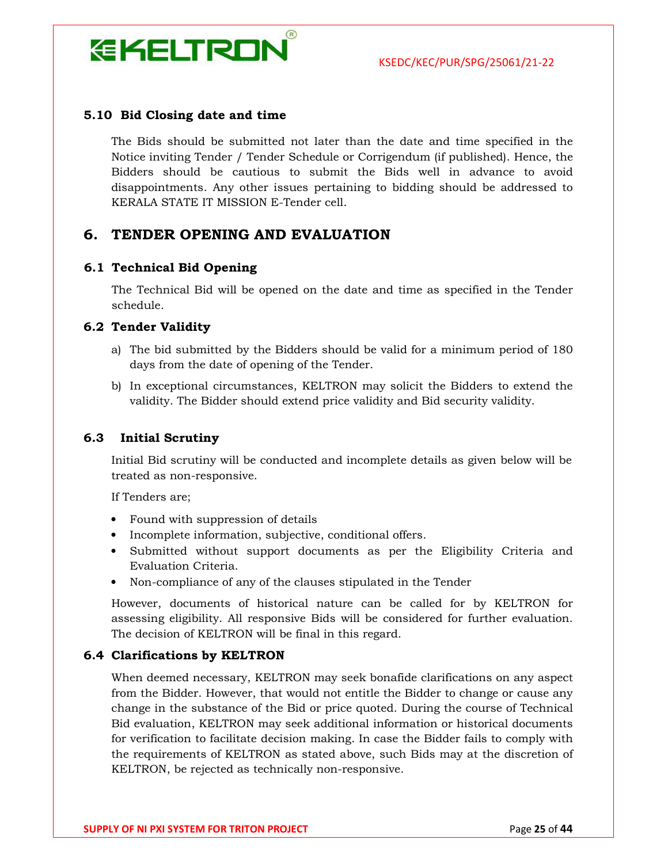

#### 5.10 Bid Closing date and time

The Bids should be submitted not later than the date and time specified in the Notice inviting Tender / Tender Schedule or Corrigendum (if published). Hence, the Bidders should be cautious to submit the Bids well in advance to avoid disappointments. Any other issues pertaining to bidding should be addressed to KERALA STATE IT MISSION E-Tender cell.

#### 6. TENDER OPENING AND EVALUATION

#### 6.1 Technical Bid Opening

The Technical Bid will be opened on the date and time as specified in the Tender schedule.

#### 6.2 Tender Validity

- a) The bid submitted by the Bidders should be valid for a minimum period of 180 days from the date of opening of the Tender.
- b) In exceptional circumstances, KELTRON may solicit the Bidders to extend the validity. The Bidder should extend price validity and Bid security validity.

#### 6.3 Initial Scrutiny

Initial Bid scrutiny will be conducted and incomplete details as given below will be treated as non-responsive.

If Tenders are;

- Found with suppression of details
- Incomplete information, subjective, conditional offers.
- Submitted without support documents as per the Eligibility Criteria and Evaluation Criteria.
- Non-compliance of any of the clauses stipulated in the Tender

However, documents of historical nature can be called for by KELTRON for assessing eligibility. All responsive Bids will be considered for further evaluation. The decision of KELTRON will be final in this regard.

#### 6.4 Clarifications by KELTRON

When deemed necessary, KELTRON may seek bonafide clarifications on any aspect from the Bidder. However, that would not entitle the Bidder to change or cause any change in the substance of the Bid or price quoted. During the course of Technical Bid evaluation, KELTRON may seek additional information or historical documents for verification to facilitate decision making. In case the Bidder fails to comply with the requirements of KELTRON as stated above, such Bids may at the discretion of KELTRON, be rejected as technically non-responsive.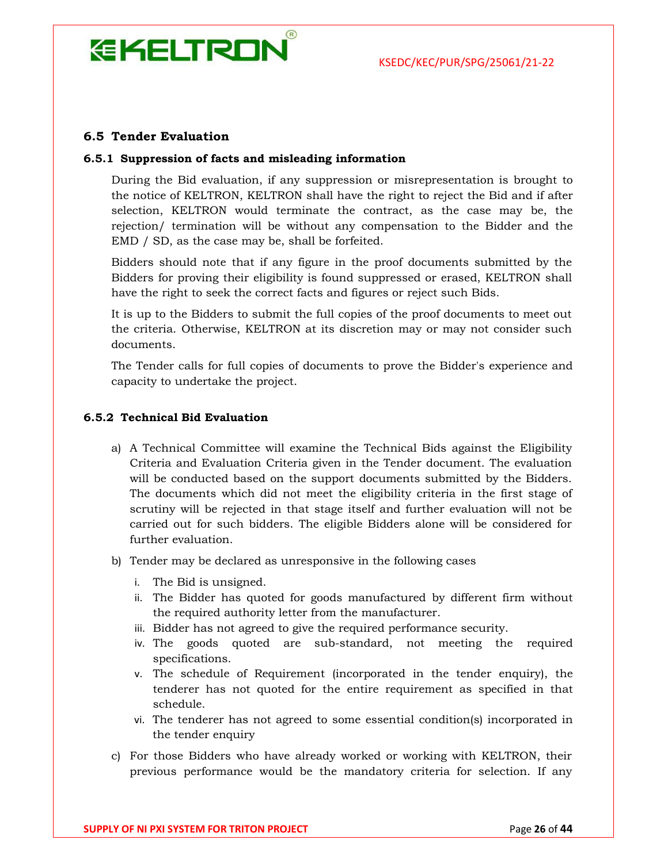# **EKELTRON**

#### 6.5 Tender Evaluation

#### 6.5.1 Suppression of facts and misleading information

During the Bid evaluation, if any suppression or misrepresentation is brought to the notice of KELTRON, KELTRON shall have the right to reject the Bid and if after selection, KELTRON would terminate the contract, as the case may be, the rejection/ termination will be without any compensation to the Bidder and the EMD / SD, as the case may be, shall be forfeited.

Bidders should note that if any figure in the proof documents submitted by the Bidders for proving their eligibility is found suppressed or erased, KELTRON shall have the right to seek the correct facts and figures or reject such Bids.

It is up to the Bidders to submit the full copies of the proof documents to meet out the criteria. Otherwise, KELTRON at its discretion may or may not consider such documents.

The Tender calls for full copies of documents to prove the Bidder's experience and capacity to undertake the project.

#### 6.5.2 Technical Bid Evaluation

- a) A Technical Committee will examine the Technical Bids against the Eligibility Criteria and Evaluation Criteria given in the Tender document. The evaluation will be conducted based on the support documents submitted by the Bidders. The documents which did not meet the eligibility criteria in the first stage of scrutiny will be rejected in that stage itself and further evaluation will not be carried out for such bidders. The eligible Bidders alone will be considered for further evaluation.
- b) Tender may be declared as unresponsive in the following cases
	- i. The Bid is unsigned.
	- ii. The Bidder has quoted for goods manufactured by different firm without the required authority letter from the manufacturer.
	- iii. Bidder has not agreed to give the required performance security.
	- iv. The goods quoted are sub-standard, not meeting the required specifications.
	- v. The schedule of Requirement (incorporated in the tender enquiry), the tenderer has not quoted for the entire requirement as specified in that schedule.
	- vi. The tenderer has not agreed to some essential condition(s) incorporated in the tender enquiry
- c) For those Bidders who have already worked or working with KELTRON, their previous performance would be the mandatory criteria for selection. If any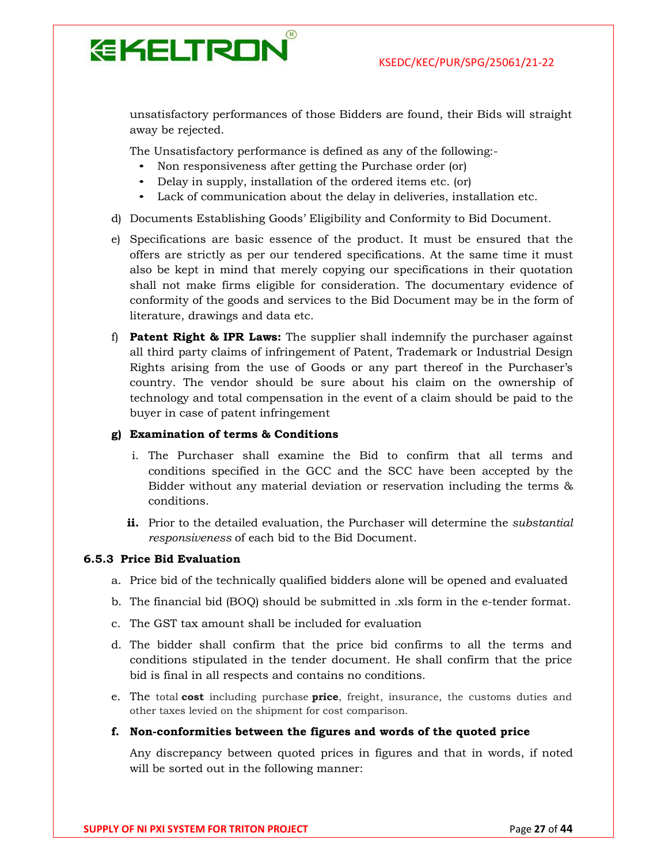

unsatisfactory performances of those Bidders are found, their Bids will straight away be rejected.

The Unsatisfactory performance is defined as any of the following:-

- Non responsiveness after getting the Purchase order (or)
- Delay in supply, installation of the ordered items etc. (or)
- Lack of communication about the delay in deliveries, installation etc.
- d) Documents Establishing Goods' Eligibility and Conformity to Bid Document.
- e) Specifications are basic essence of the product. It must be ensured that the offers are strictly as per our tendered specifications. At the same time it must also be kept in mind that merely copying our specifications in their quotation shall not make firms eligible for consideration. The documentary evidence of conformity of the goods and services to the Bid Document may be in the form of literature, drawings and data etc.
- f) **Patent Right & IPR Laws:** The supplier shall indemnify the purchaser against all third party claims of infringement of Patent, Trademark or Industrial Design Rights arising from the use of Goods or any part thereof in the Purchaser's country. The vendor should be sure about his claim on the ownership of technology and total compensation in the event of a claim should be paid to the buyer in case of patent infringement

#### g) Examination of terms & Conditions

- i. The Purchaser shall examine the Bid to confirm that all terms and conditions specified in the GCC and the SCC have been accepted by the Bidder without any material deviation or reservation including the terms & conditions.
- ii. Prior to the detailed evaluation, the Purchaser will determine the *substantial* responsiveness of each bid to the Bid Document.

#### 6.5.3 Price Bid Evaluation

- a. Price bid of the technically qualified bidders alone will be opened and evaluated
- b. The financial bid (BOQ) should be submitted in .xls form in the e-tender format.
- c. The GST tax amount shall be included for evaluation
- d. The bidder shall confirm that the price bid confirms to all the terms and conditions stipulated in the tender document. He shall confirm that the price bid is final in all respects and contains no conditions.
- e. The total **cost** including purchase **price**, freight, insurance, the customs duties and other taxes levied on the shipment for cost comparison.

#### f. Non-conformities between the figures and words of the quoted price

Any discrepancy between quoted prices in figures and that in words, if noted will be sorted out in the following manner: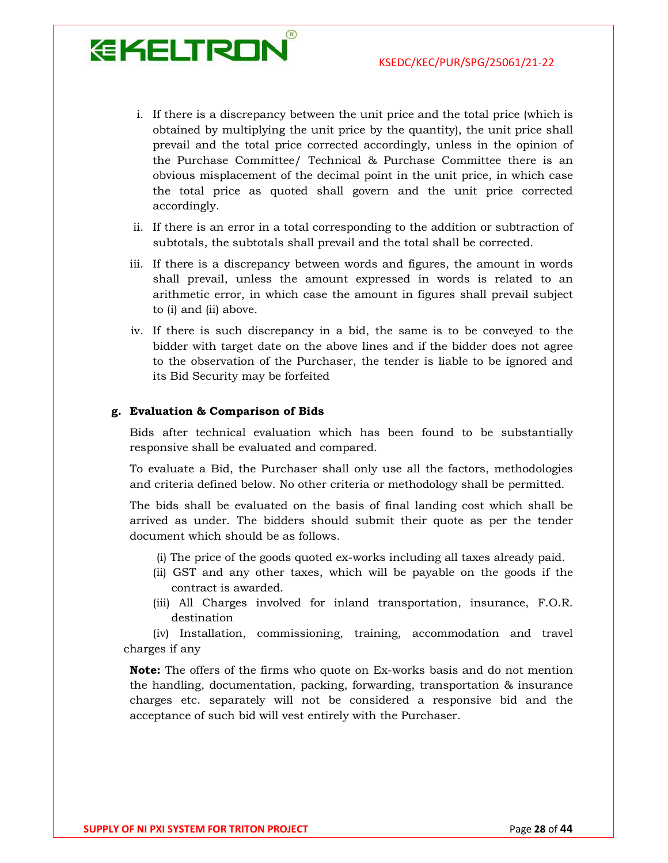- i. If there is a discrepancy between the unit price and the total price (which is obtained by multiplying the unit price by the quantity), the unit price shall prevail and the total price corrected accordingly, unless in the opinion of the Purchase Committee/ Technical & Purchase Committee there is an obvious misplacement of the decimal point in the unit price, in which case the total price as quoted shall govern and the unit price corrected accordingly.
- ii. If there is an error in a total corresponding to the addition or subtraction of subtotals, the subtotals shall prevail and the total shall be corrected.
- iii. If there is a discrepancy between words and figures, the amount in words shall prevail, unless the amount expressed in words is related to an arithmetic error, in which case the amount in figures shall prevail subject to (i) and (ii) above.
- iv. If there is such discrepancy in a bid, the same is to be conveyed to the bidder with target date on the above lines and if the bidder does not agree to the observation of the Purchaser, the tender is liable to be ignored and its Bid Security may be forfeited

#### g. Evaluation & Comparison of Bids

**EKELTRON** 

Bids after technical evaluation which has been found to be substantially responsive shall be evaluated and compared.

To evaluate a Bid, the Purchaser shall only use all the factors, methodologies and criteria defined below. No other criteria or methodology shall be permitted.

The bids shall be evaluated on the basis of final landing cost which shall be arrived as under. The bidders should submit their quote as per the tender document which should be as follows.

- (i) The price of the goods quoted ex-works including all taxes already paid.
- (ii) GST and any other taxes, which will be payable on the goods if the contract is awarded.
- (iii) All Charges involved for inland transportation, insurance, F.O.R. destination

(iv) Installation, commissioning, training, accommodation and travel charges if any

Note: The offers of the firms who quote on Ex-works basis and do not mention the handling, documentation, packing, forwarding, transportation & insurance charges etc. separately will not be considered a responsive bid and the acceptance of such bid will vest entirely with the Purchaser.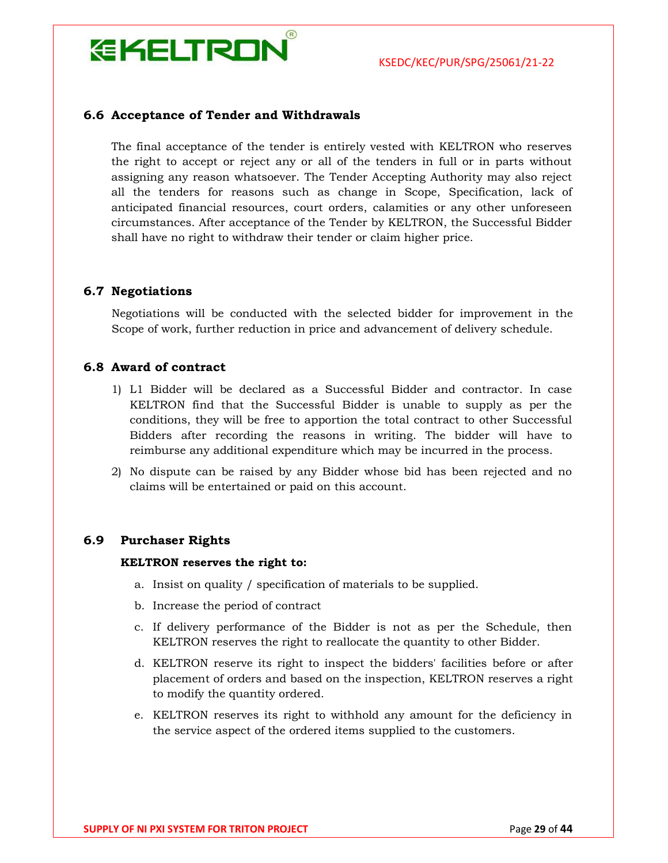

#### 6.6 Acceptance of Tender and Withdrawals

The final acceptance of the tender is entirely vested with KELTRON who reserves the right to accept or reject any or all of the tenders in full or in parts without assigning any reason whatsoever. The Tender Accepting Authority may also reject all the tenders for reasons such as change in Scope, Specification, lack of anticipated financial resources, court orders, calamities or any other unforeseen circumstances. After acceptance of the Tender by KELTRON, the Successful Bidder shall have no right to withdraw their tender or claim higher price.

#### 6.7 Negotiations

Negotiations will be conducted with the selected bidder for improvement in the Scope of work, further reduction in price and advancement of delivery schedule.

#### 6.8 Award of contract

- 1) L1 Bidder will be declared as a Successful Bidder and contractor. In case KELTRON find that the Successful Bidder is unable to supply as per the conditions, they will be free to apportion the total contract to other Successful Bidders after recording the reasons in writing. The bidder will have to reimburse any additional expenditure which may be incurred in the process.
- 2) No dispute can be raised by any Bidder whose bid has been rejected and no claims will be entertained or paid on this account.

#### 6.9 Purchaser Rights

#### KELTRON reserves the right to:

- a. Insist on quality / specification of materials to be supplied.
- b. Increase the period of contract
- c. If delivery performance of the Bidder is not as per the Schedule, then KELTRON reserves the right to reallocate the quantity to other Bidder.
- d. KELTRON reserve its right to inspect the bidders' facilities before or after placement of orders and based on the inspection, KELTRON reserves a right to modify the quantity ordered.
- e. KELTRON reserves its right to withhold any amount for the deficiency in the service aspect of the ordered items supplied to the customers.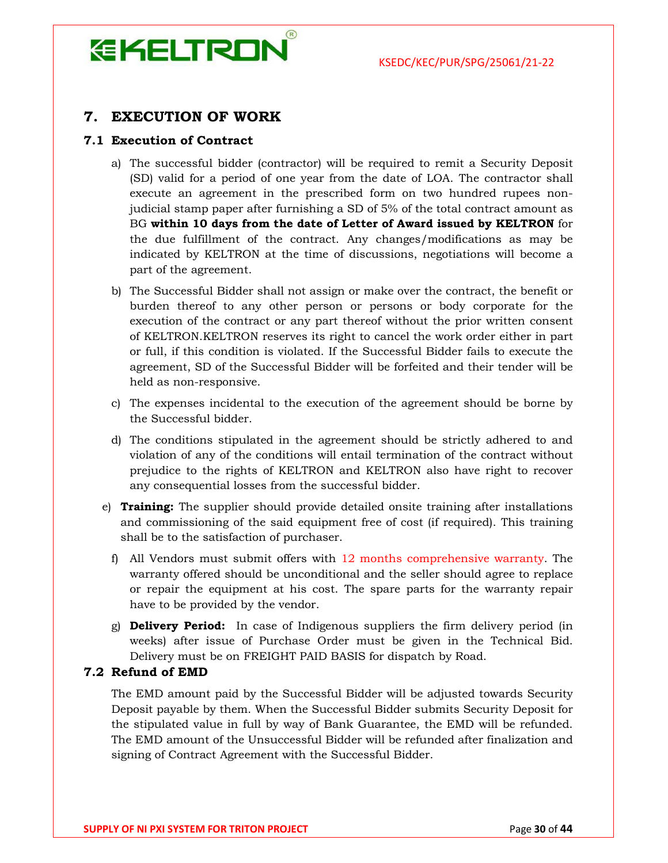### $(R)$ **EKELTRON**

#### 7. EXECUTION OF WORK

#### 7.1 Execution of Contract

- a) The successful bidder (contractor) will be required to remit a Security Deposit (SD) valid for a period of one year from the date of LOA. The contractor shall execute an agreement in the prescribed form on two hundred rupees nonjudicial stamp paper after furnishing a SD of 5% of the total contract amount as BG within 10 days from the date of Letter of Award issued by KELTRON for the due fulfillment of the contract. Any changes/modifications as may be indicated by KELTRON at the time of discussions, negotiations will become a part of the agreement.
- b) The Successful Bidder shall not assign or make over the contract, the benefit or burden thereof to any other person or persons or body corporate for the execution of the contract or any part thereof without the prior written consent of KELTRON.KELTRON reserves its right to cancel the work order either in part or full, if this condition is violated. If the Successful Bidder fails to execute the agreement, SD of the Successful Bidder will be forfeited and their tender will be held as non-responsive.
- c) The expenses incidental to the execution of the agreement should be borne by the Successful bidder.
- d) The conditions stipulated in the agreement should be strictly adhered to and violation of any of the conditions will entail termination of the contract without prejudice to the rights of KELTRON and KELTRON also have right to recover any consequential losses from the successful bidder.
- e) Training: The supplier should provide detailed onsite training after installations and commissioning of the said equipment free of cost (if required). This training shall be to the satisfaction of purchaser.
	- f) All Vendors must submit offers with 12 months comprehensive warranty. The warranty offered should be unconditional and the seller should agree to replace or repair the equipment at his cost. The spare parts for the warranty repair have to be provided by the vendor.
	- g) **Delivery Period:** In case of Indigenous suppliers the firm delivery period (in weeks) after issue of Purchase Order must be given in the Technical Bid. Delivery must be on FREIGHT PAID BASIS for dispatch by Road.

#### 7.2 Refund of EMD

The EMD amount paid by the Successful Bidder will be adjusted towards Security Deposit payable by them. When the Successful Bidder submits Security Deposit for the stipulated value in full by way of Bank Guarantee, the EMD will be refunded. The EMD amount of the Unsuccessful Bidder will be refunded after finalization and signing of Contract Agreement with the Successful Bidder.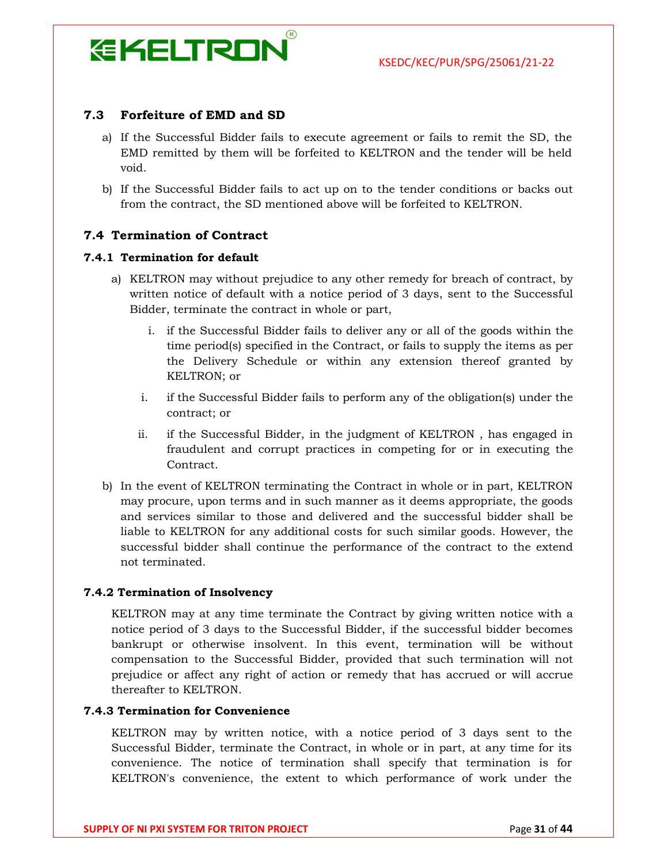

#### 7.3 Forfeiture of EMD and SD

- a) If the Successful Bidder fails to execute agreement or fails to remit the SD, the EMD remitted by them will be forfeited to KELTRON and the tender will be held void.
- b) If the Successful Bidder fails to act up on to the tender conditions or backs out from the contract, the SD mentioned above will be forfeited to KELTRON.

#### 7.4 Termination of Contract

#### 7.4.1 Termination for default

- a) KELTRON may without prejudice to any other remedy for breach of contract, by written notice of default with a notice period of 3 days, sent to the Successful Bidder, terminate the contract in whole or part,
	- i. if the Successful Bidder fails to deliver any or all of the goods within the time period(s) specified in the Contract, or fails to supply the items as per the Delivery Schedule or within any extension thereof granted by KELTRON; or
	- i. if the Successful Bidder fails to perform any of the obligation(s) under the contract; or
	- ii. if the Successful Bidder, in the judgment of KELTRON , has engaged in fraudulent and corrupt practices in competing for or in executing the **Contract**
- b) In the event of KELTRON terminating the Contract in whole or in part, KELTRON may procure, upon terms and in such manner as it deems appropriate, the goods and services similar to those and delivered and the successful bidder shall be liable to KELTRON for any additional costs for such similar goods. However, the successful bidder shall continue the performance of the contract to the extend not terminated.

#### 7.4.2 Termination of Insolvency

KELTRON may at any time terminate the Contract by giving written notice with a notice period of 3 days to the Successful Bidder, if the successful bidder becomes bankrupt or otherwise insolvent. In this event, termination will be without compensation to the Successful Bidder, provided that such termination will not prejudice or affect any right of action or remedy that has accrued or will accrue thereafter to KELTRON.

#### 7.4.3 Termination for Convenience

KELTRON may by written notice, with a notice period of 3 days sent to the Successful Bidder, terminate the Contract, in whole or in part, at any time for its convenience. The notice of termination shall specify that termination is for KELTRON's convenience, the extent to which performance of work under the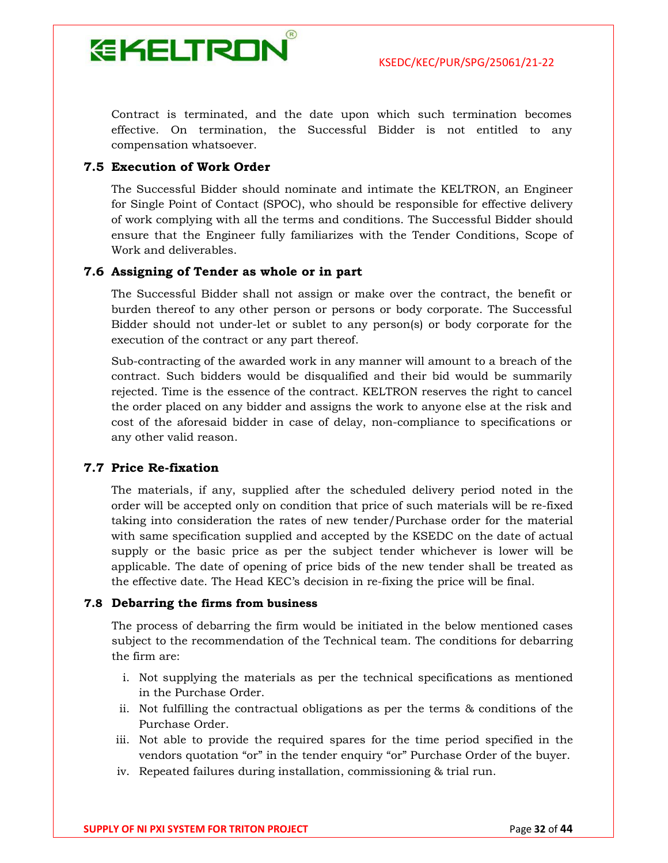

Contract is terminated, and the date upon which such termination becomes effective. On termination, the Successful Bidder is not entitled to any compensation whatsoever.

#### 7.5 Execution of Work Order

The Successful Bidder should nominate and intimate the KELTRON, an Engineer for Single Point of Contact (SPOC), who should be responsible for effective delivery of work complying with all the terms and conditions. The Successful Bidder should ensure that the Engineer fully familiarizes with the Tender Conditions, Scope of Work and deliverables.

#### 7.6 Assigning of Tender as whole or in part

The Successful Bidder shall not assign or make over the contract, the benefit or burden thereof to any other person or persons or body corporate. The Successful Bidder should not under-let or sublet to any person(s) or body corporate for the execution of the contract or any part thereof.

Sub-contracting of the awarded work in any manner will amount to a breach of the contract. Such bidders would be disqualified and their bid would be summarily rejected. Time is the essence of the contract. KELTRON reserves the right to cancel the order placed on any bidder and assigns the work to anyone else at the risk and cost of the aforesaid bidder in case of delay, non-compliance to specifications or any other valid reason.

#### 7.7 Price Re-fixation

The materials, if any, supplied after the scheduled delivery period noted in the order will be accepted only on condition that price of such materials will be re-fixed taking into consideration the rates of new tender/Purchase order for the material with same specification supplied and accepted by the KSEDC on the date of actual supply or the basic price as per the subject tender whichever is lower will be applicable. The date of opening of price bids of the new tender shall be treated as the effective date. The Head KEC's decision in re-fixing the price will be final.

#### 7.8 Debarring the firms from business

The process of debarring the firm would be initiated in the below mentioned cases subject to the recommendation of the Technical team. The conditions for debarring the firm are:

- i. Not supplying the materials as per the technical specifications as mentioned in the Purchase Order.
- ii. Not fulfilling the contractual obligations as per the terms & conditions of the Purchase Order.
- iii. Not able to provide the required spares for the time period specified in the vendors quotation "or" in the tender enquiry "or" Purchase Order of the buyer.
- iv. Repeated failures during installation, commissioning & trial run.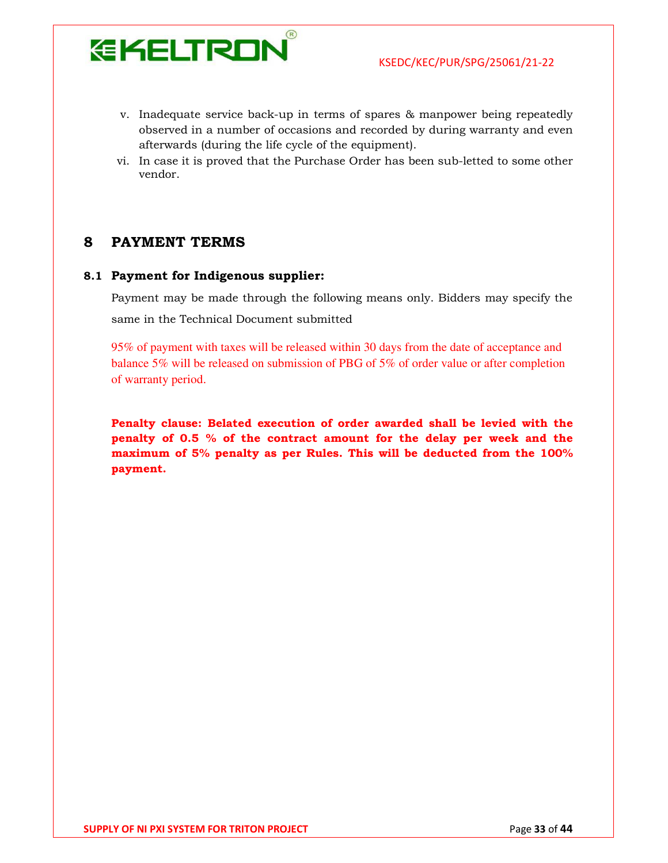

- v. Inadequate service back-up in terms of spares & manpower being repeatedly observed in a number of occasions and recorded by during warranty and even afterwards (during the life cycle of the equipment).
- vi. In case it is proved that the Purchase Order has been sub-letted to some other vendor.

#### 8 PAYMENT TERMS

#### 8.1 Payment for Indigenous supplier:

Payment may be made through the following means only. Bidders may specify the same in the Technical Document submitted

95% of payment with taxes will be released within 30 days from the date of acceptance and balance 5% will be released on submission of PBG of 5% of order value or after completion of warranty period.

Penalty clause: Belated execution of order awarded shall be levied with the penalty of 0.5 % of the contract amount for the delay per week and the maximum of 5% penalty as per Rules. This will be deducted from the 100% payment.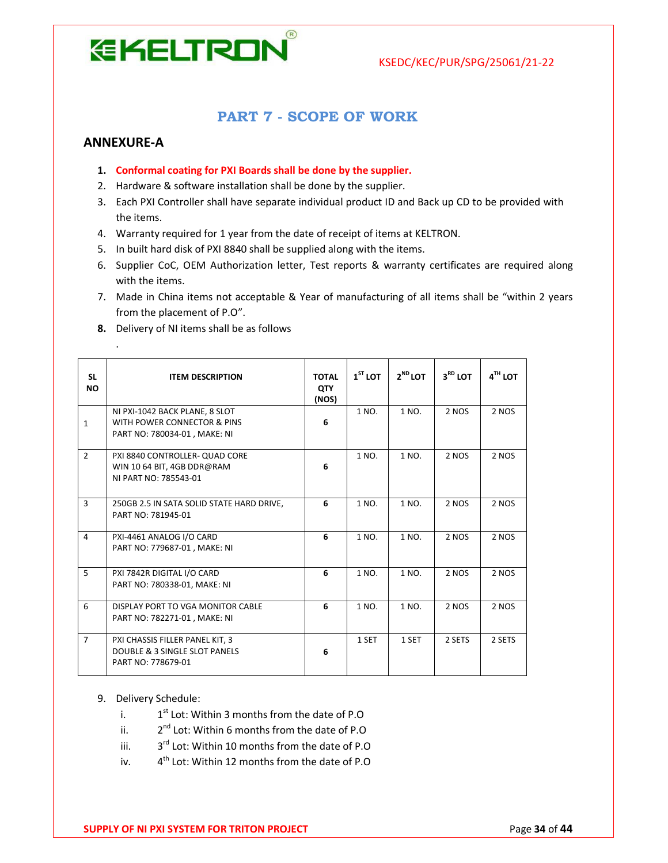

#### PART 7 - SCOPE OF WORK

#### ANNEXURE-A

.

- 1. Conformal coating for PXI Boards shall be done by the supplier.
- 2. Hardware & software installation shall be done by the supplier.
- 3. Each PXI Controller shall have separate individual product ID and Back up CD to be provided with the items.
- 4. Warranty required for 1 year from the date of receipt of items at KELTRON.
- 5. In built hard disk of PXI 8840 shall be supplied along with the items.
- 6. Supplier CoC, OEM Authorization letter, Test reports & warranty certificates are required along with the items.
- 7. Made in China items not acceptable & Year of manufacturing of all items shall be "within 2 years from the placement of P.O".
- 8. Delivery of NI items shall be as follows

| <b>SL</b><br><b>NO</b> | <b>ITEM DESCRIPTION</b>                                                                       | <b>TOTAL</b><br><b>QTY</b><br>(NOS) | $1ST$ LOT | $2^{ND}$ LOT | $3RD$ LOT | $4TH$ LOT |
|------------------------|-----------------------------------------------------------------------------------------------|-------------------------------------|-----------|--------------|-----------|-----------|
| $\mathbf{1}$           | NI PXI-1042 BACK PLANE, 8 SLOT<br>WITH POWER CONNECTOR & PINS<br>PART NO: 780034-01, MAKE: NI | 6                                   | 1 NO.     | 1 NO.        | 2 NOS     | 2 NOS     |
| 2                      | PXI 8840 CONTROLLER- QUAD CORE<br>WIN 10 64 BIT, 4GB DDR@RAM<br>NI PART NO: 785543-01         | 6                                   | 1 NO.     | 1 NO.        | 2 NOS     | 2 NOS     |
| $\overline{3}$         | 250GB 2.5 IN SATA SOLID STATE HARD DRIVE,<br>PART NO: 781945-01                               | 6                                   | 1 NO.     | 1 NO.        | 2 NOS     | 2 NOS     |
| $\overline{4}$         | PXI-4461 ANALOG I/O CARD<br>PART NO: 779687-01, MAKE: NI                                      | 6                                   | 1 NO.     | 1 NO.        | 2 NOS     | 2 NOS     |
| 5                      | PXI 7842R DIGITAL I/O CARD<br>PART NO: 780338-01, MAKE: NI                                    | 6                                   | 1 NO.     | 1 NO.        | 2 NOS     | 2 NOS     |
| 6                      | DISPLAY PORT TO VGA MONITOR CABLE<br>PART NO: 782271-01, MAKE: NI                             | 6                                   | 1 NO.     | 1 NO.        | 2 NOS     | 2 NOS     |
| $\overline{7}$         | PXI CHASSIS FILLER PANEL KIT, 3<br>DOUBLE & 3 SINGLE SLOT PANELS<br>PART NO: 778679-01        | 6                                   | 1 SET     | 1 SET        | 2 SETS    | 2 SETS    |

- 9. Delivery Schedule:
	- i. 1<sup>st</sup> Lot: Within 3 months from the date of P.O
	- ii. 2 2<sup>nd</sup> Lot: Within 6 months from the date of P.O
	- iii. 3<sup>rd</sup> Lot: Within 10 months from the date of P.O
	- iv. 4<sup>th</sup> Lot: Within 12 months from the date of P.O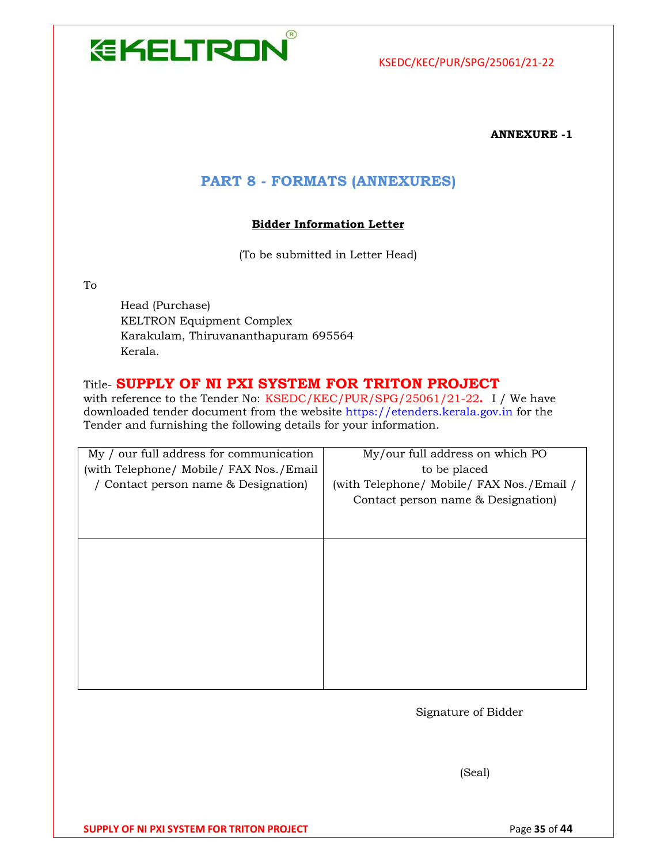

#### ANNEXURE -1

#### PART 8 - FORMATS (ANNEXURES)

#### Bidder Information Letter

(To be submitted in Letter Head)

To

Head (Purchase) KELTRON Equipment Complex Karakulam, Thiruvananthapuram 695564 Kerala.

#### Title- SUPPLY OF NI PXI SYSTEM FOR TRITON PROJECT

with reference to the Tender No: KSEDC/KEC/PUR/SPG/25061/21-22. I / We have downloaded tender document from the website https://etenders.kerala.gov.in for the Tender and furnishing the following details for your information.

| My / our full address for communication | My/our full address on which PO           |
|-----------------------------------------|-------------------------------------------|
| (with Telephone/ Mobile/ FAX Nos./Email | to be placed                              |
| / Contact person name & Designation)    | (with Telephone/ Mobile/ FAX Nos./Email / |
|                                         | Contact person name & Designation)        |
|                                         |                                           |
|                                         |                                           |
|                                         |                                           |
|                                         |                                           |
|                                         |                                           |
|                                         |                                           |
|                                         |                                           |
|                                         |                                           |
|                                         |                                           |
|                                         |                                           |
|                                         |                                           |

Signature of Bidder

(Seal)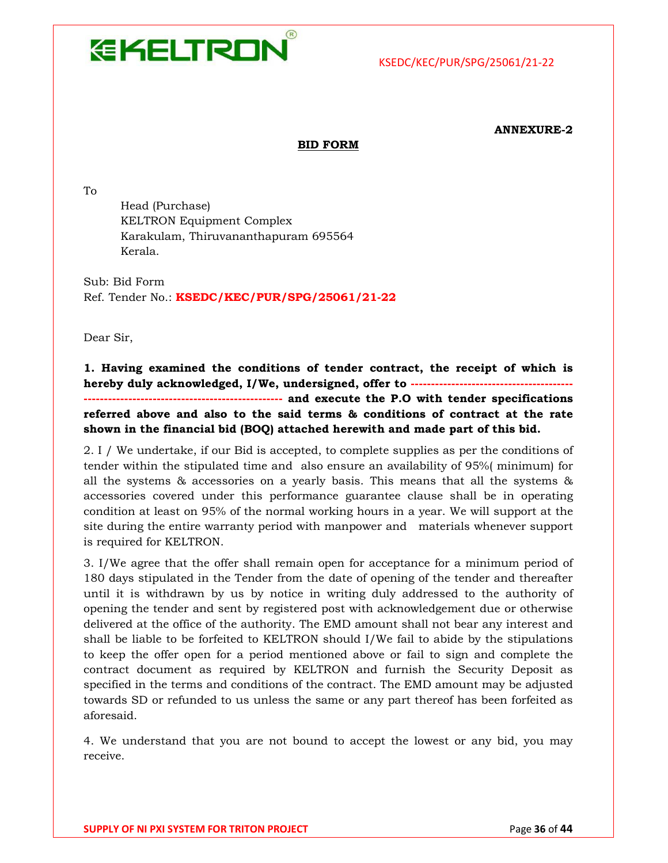

#### ANNEXURE-2

#### BID FORM

To

Head (Purchase) KELTRON Equipment Complex Karakulam, Thiruvananthapuram 695564 Kerala.

Sub: Bid Form Ref. Tender No.: KSEDC/KEC/PUR/SPG/25061/21-22

Dear Sir,

1. Having examined the conditions of tender contract, the receipt of which is hereby duly acknowledged, I/We, undersigned, offer to --------------------------------------------------------- and execute the P.O with tender specifications referred above and also to the said terms & conditions of contract at the rate shown in the financial bid (BOQ) attached herewith and made part of this bid.

2. I / We undertake, if our Bid is accepted, to complete supplies as per the conditions of tender within the stipulated time and also ensure an availability of 95%( minimum) for all the systems & accessories on a yearly basis. This means that all the systems & accessories covered under this performance guarantee clause shall be in operating condition at least on 95% of the normal working hours in a year. We will support at the site during the entire warranty period with manpower and materials whenever support is required for KELTRON.

3. I/We agree that the offer shall remain open for acceptance for a minimum period of 180 days stipulated in the Tender from the date of opening of the tender and thereafter until it is withdrawn by us by notice in writing duly addressed to the authority of opening the tender and sent by registered post with acknowledgement due or otherwise delivered at the office of the authority. The EMD amount shall not bear any interest and shall be liable to be forfeited to KELTRON should I/We fail to abide by the stipulations to keep the offer open for a period mentioned above or fail to sign and complete the contract document as required by KELTRON and furnish the Security Deposit as specified in the terms and conditions of the contract. The EMD amount may be adjusted towards SD or refunded to us unless the same or any part thereof has been forfeited as aforesaid.

4. We understand that you are not bound to accept the lowest or any bid, you may receive.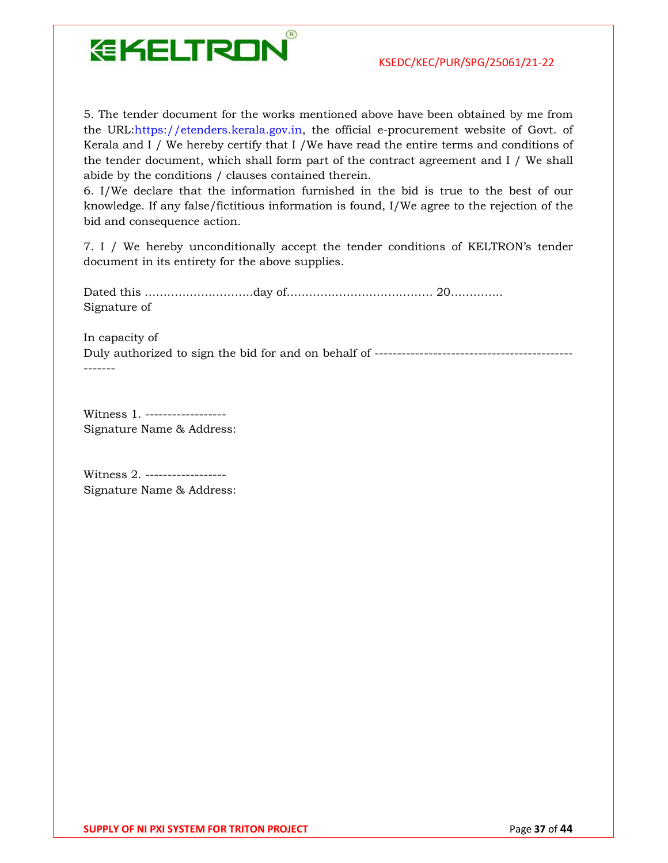

5. The tender document for the works mentioned above have been obtained by me from the URL:https://etenders.kerala.gov.in, the official e-procurement website of Govt. of Kerala and I / We hereby certify that I /We have read the entire terms and conditions of the tender document, which shall form part of the contract agreement and I / We shall abide by the conditions / clauses contained therein.

6. I/We declare that the information furnished in the bid is true to the best of our knowledge. If any false/fictitious information is found, I/We agree to the rejection of the bid and consequence action.

7. I / We hereby unconditionally accept the tender conditions of KELTRON's tender document in its entirety for the above supplies.

Dated this ………………………..day of………………………………… 20………….. Signature of

In capacity of

Duly authorized to sign the bid for and on behalf of -------------------------------------------- -------

Witness 1. ------------------ Signature Name & Address:

Witness 2. ------------------ Signature Name & Address: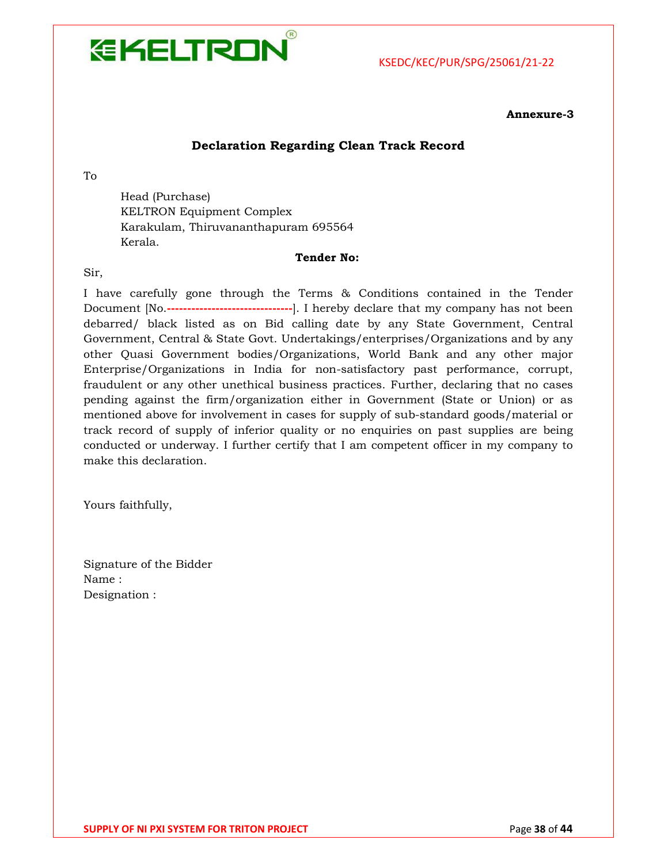

#### Annexure-3

#### Declaration Regarding Clean Track Record

To

Head (Purchase) KELTRON Equipment Complex Karakulam, Thiruvananthapuram 695564 Kerala.

#### Tender No:

Sir,

I have carefully gone through the Terms & Conditions contained in the Tender Document [No.-------------------------------]. I hereby declare that my company has not been debarred/ black listed as on Bid calling date by any State Government, Central Government, Central & State Govt. Undertakings/enterprises/Organizations and by any other Quasi Government bodies/Organizations, World Bank and any other major Enterprise/Organizations in India for non-satisfactory past performance, corrupt, fraudulent or any other unethical business practices. Further, declaring that no cases pending against the firm/organization either in Government (State or Union) or as mentioned above for involvement in cases for supply of sub-standard goods/material or track record of supply of inferior quality or no enquiries on past supplies are being conducted or underway. I further certify that I am competent officer in my company to make this declaration.

Yours faithfully,

Signature of the Bidder Name : Designation :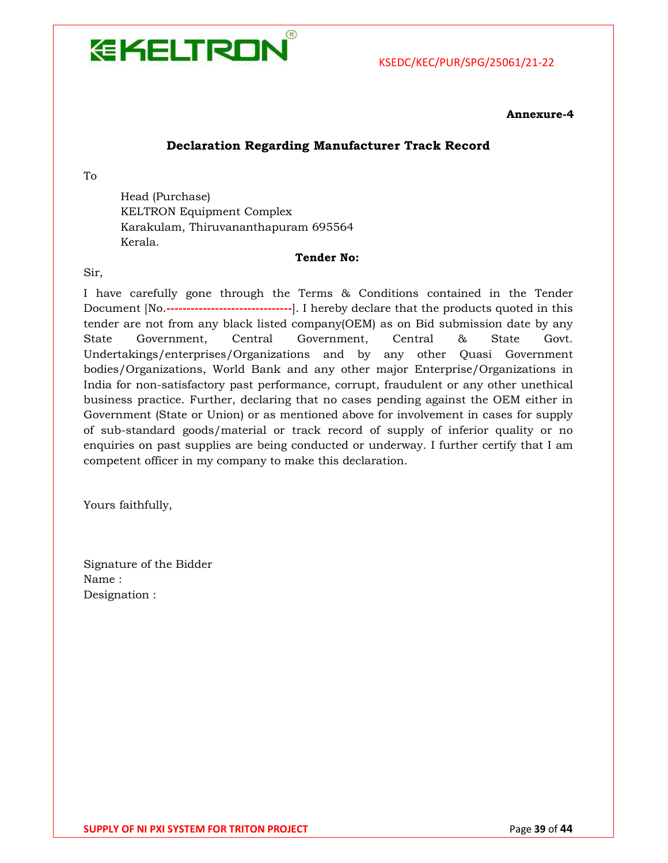

#### Annexure-4

#### Declaration Regarding Manufacturer Track Record

To

Head (Purchase) KELTRON Equipment Complex Karakulam, Thiruvananthapuram 695564 Kerala.

#### Tender No:

Sir,

I have carefully gone through the Terms & Conditions contained in the Tender Document [No.-------------------------------]. I hereby declare that the products quoted in this tender are not from any black listed company(OEM) as on Bid submission date by any State Government, Central Government, Central & State Govt. Undertakings/enterprises/Organizations and by any other Quasi Government bodies/Organizations, World Bank and any other major Enterprise/Organizations in India for non-satisfactory past performance, corrupt, fraudulent or any other unethical business practice. Further, declaring that no cases pending against the OEM either in Government (State or Union) or as mentioned above for involvement in cases for supply of sub-standard goods/material or track record of supply of inferior quality or no enquiries on past supplies are being conducted or underway. I further certify that I am competent officer in my company to make this declaration.

Yours faithfully,

Signature of the Bidder Name : Designation :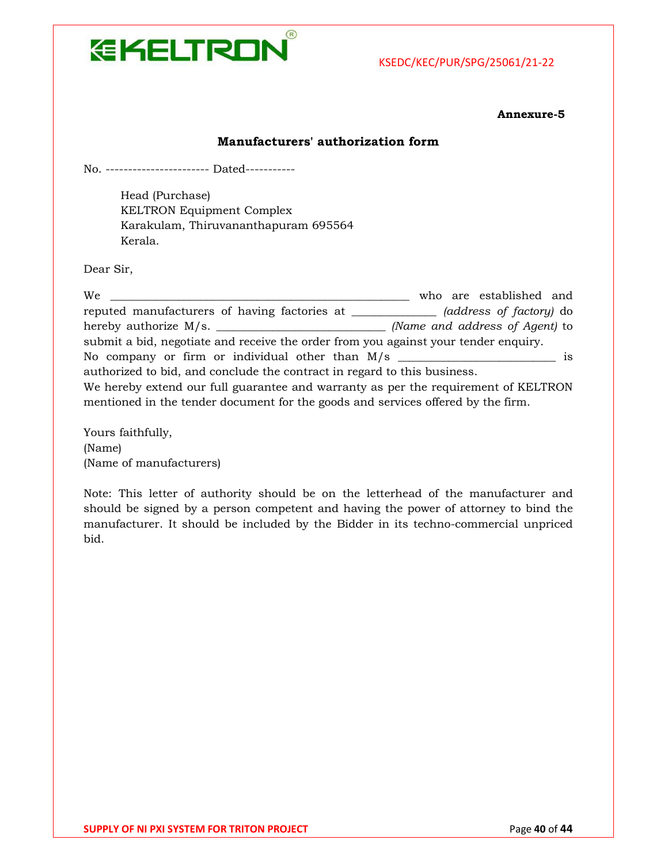

Annexure-5

#### Manufacturers' authorization form

No. ----------------------- Dated-----------

Head (Purchase) KELTRON Equipment Complex Karakulam, Thiruvananthapuram 695564 Kerala.

Dear Sir,

| We                                                                                  | who are established and        |
|-------------------------------------------------------------------------------------|--------------------------------|
| reputed manufacturers of having factories at ________________                       | (address of factory) do        |
|                                                                                     | (Name and address of Agent) to |
| submit a bid, negotiate and receive the order from you against your tender enquiry. |                                |
|                                                                                     |                                |
| authorized to bid, and conclude the contract in regard to this business.            |                                |
| We hereby extend our full guarantee and warranty as per the requirement of KELTRON  |                                |
| mentioned in the tender document for the goods and services offered by the firm.    |                                |

Yours faithfully, (Name) (Name of manufacturers)

Note: This letter of authority should be on the letterhead of the manufacturer and should be signed by a person competent and having the power of attorney to bind the manufacturer. It should be included by the Bidder in its techno-commercial unpriced bid.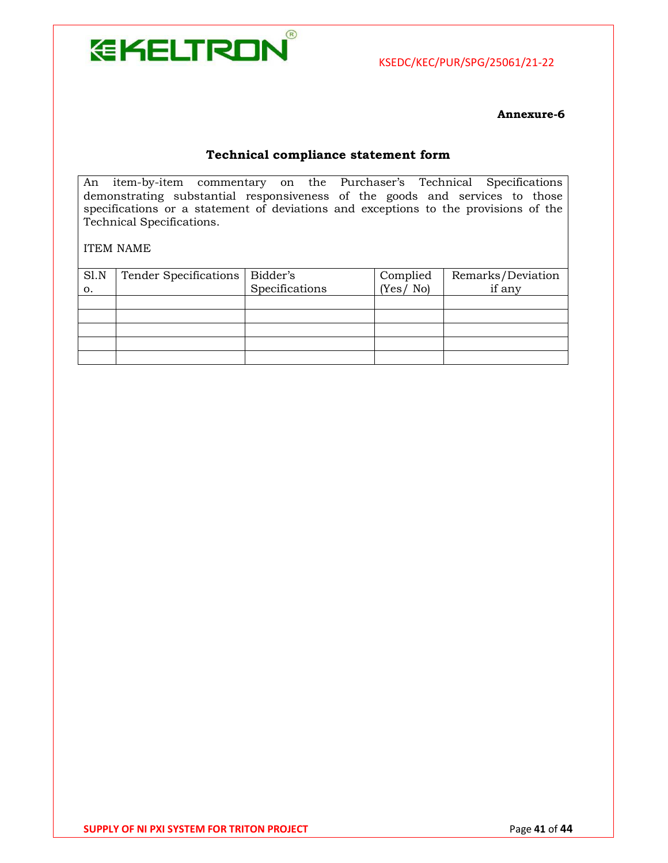

Annexure-6

#### Technical compliance statement form

An item-by-item commentary on the Purchaser's Technical Specifications demonstrating substantial responsiveness of the goods and services to those specifications or a statement of deviations and exceptions to the provisions of the Technical Specifications.

ITEM NAME

| S1.N<br>о. | Tender Specifications | Bidder's<br>Specifications | Complied<br>(Yes / No) | Remarks/Deviation<br>if any |
|------------|-----------------------|----------------------------|------------------------|-----------------------------|
|            |                       |                            |                        |                             |
|            |                       |                            |                        |                             |
|            |                       |                            |                        |                             |
|            |                       |                            |                        |                             |
|            |                       |                            |                        |                             |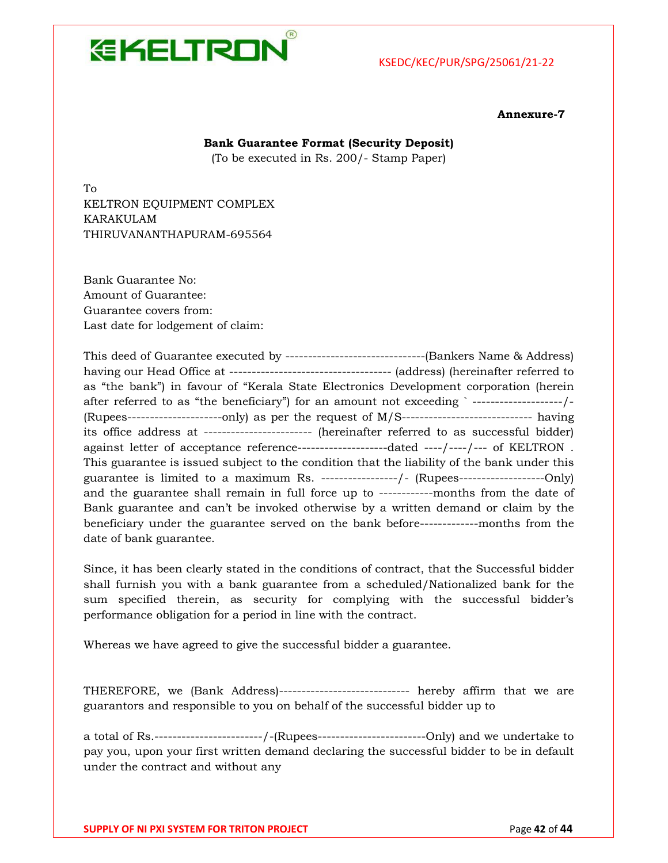

Annexure-7

#### Bank Guarantee Format (Security Deposit)

(To be executed in Rs. 200/- Stamp Paper)

To KELTRON EQUIPMENT COMPLEX KARAKULAM THIRUVANANTHAPURAM-695564

Bank Guarantee No: Amount of Guarantee: Guarantee covers from: Last date for lodgement of claim:

This deed of Guarantee executed by -------------------------------(Bankers Name & Address) having our Head Office at ------------------------------------ (address) (hereinafter referred to as "the bank") in favour of "Kerala State Electronics Development corporation (herein after referred to as "the beneficiary") for an amount not exceeding ` --------------------/- (Rupees---------------------only) as per the request of M/S----------------------------- having its office address at ------------------------ (hereinafter referred to as successful bidder) against letter of acceptance reference--------------------dated ----/----/--- of KELTRON . This guarantee is issued subject to the condition that the liability of the bank under this guarantee is limited to a maximum Rs. -----------------/- (Rupees-------------------Only) and the guarantee shall remain in full force up to ------------months from the date of Bank guarantee and can't be invoked otherwise by a written demand or claim by the beneficiary under the guarantee served on the bank before-------------months from the date of bank guarantee.

Since, it has been clearly stated in the conditions of contract, that the Successful bidder shall furnish you with a bank guarantee from a scheduled/Nationalized bank for the sum specified therein, as security for complying with the successful bidder's performance obligation for a period in line with the contract.

Whereas we have agreed to give the successful bidder a guarantee.

THEREFORE, we (Bank Address)----------------------------- hereby affirm that we are guarantors and responsible to you on behalf of the successful bidder up to

a total of Rs.------------------------/-(Rupees------------------------Only) and we undertake to pay you, upon your first written demand declaring the successful bidder to be in default under the contract and without any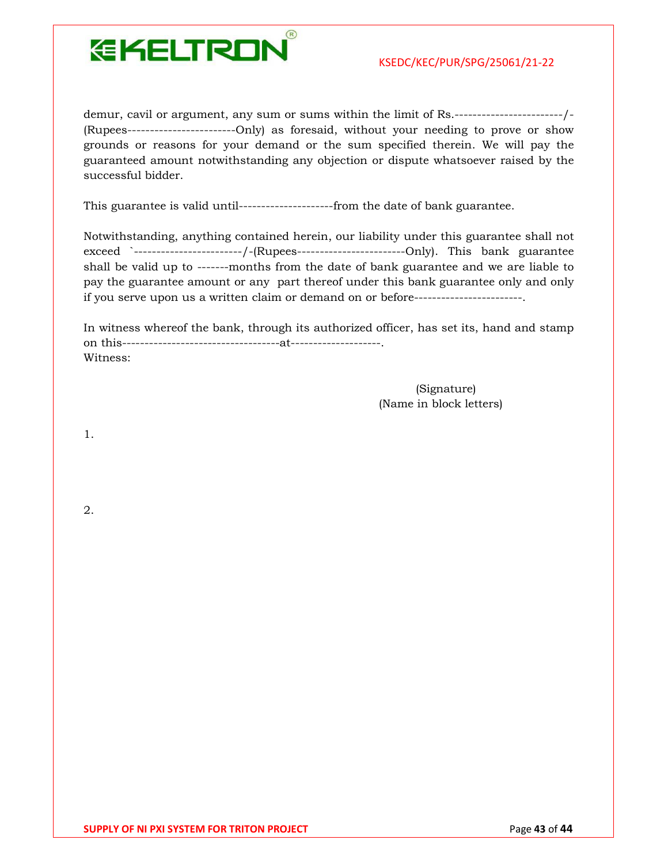

demur, cavil or argument, any sum or sums within the limit of Rs.------------------------/- (Rupees------------------------Only) as foresaid, without your needing to prove or show grounds or reasons for your demand or the sum specified therein. We will pay the guaranteed amount notwithstanding any objection or dispute whatsoever raised by the successful bidder.

This guarantee is valid until---------------------from the date of bank guarantee.

Notwithstanding, anything contained herein, our liability under this guarantee shall not exceed `------------------------/-(Rupees------------------------Only). This bank guarantee shall be valid up to -------months from the date of bank guarantee and we are liable to pay the guarantee amount or any part thereof under this bank guarantee only and only if you serve upon us a written claim or demand on or before------------------------.

In witness whereof the bank, through its authorized officer, has set its, hand and stamp on this-----------------------------------at--------------------. Witness:

> (Signature) (Name in block letters)

1.

2.